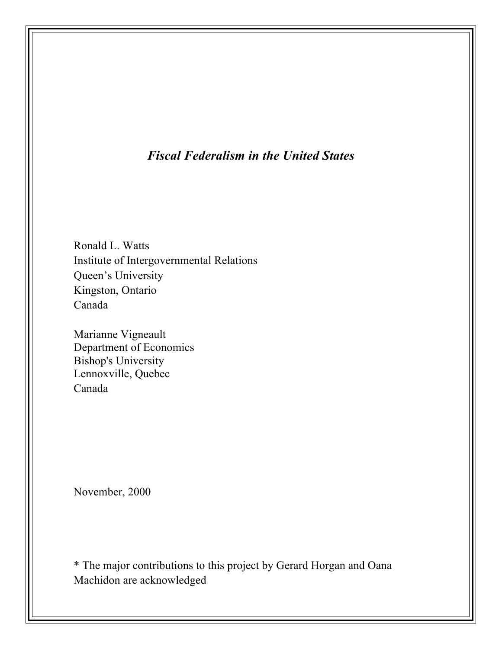# *Fiscal Federalism in the United States*

Ronald L. Watts Institute of Intergovernmental Relations Queen's University Kingston, Ontario Canada

Marianne Vigneault Department of Economics Bishop's University Lennoxville, Quebec Canada

November, 2000

\* The major contributions to this project by Gerard Horgan and Oana Machidon are acknowledged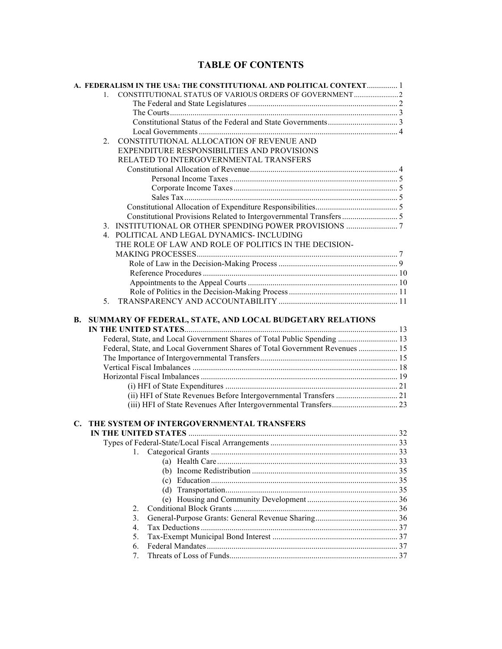## **TABLE OF CONTENTS**

|    | A. FEDERALISM IN THE USA: THE CONSTITUTIONAL AND POLITICAL CONTEXT 1         |  |
|----|------------------------------------------------------------------------------|--|
|    | 1.                                                                           |  |
|    |                                                                              |  |
|    |                                                                              |  |
|    |                                                                              |  |
|    |                                                                              |  |
|    | CONSTITUTIONAL ALLOCATION OF REVENUE AND<br>$2_{1}$                          |  |
|    | EXPENDITURE RESPONSIBILITIES AND PROVISIONS                                  |  |
|    | RELATED TO INTERGOVERNMENTAL TRANSFERS                                       |  |
|    |                                                                              |  |
|    |                                                                              |  |
|    |                                                                              |  |
|    |                                                                              |  |
|    |                                                                              |  |
|    |                                                                              |  |
|    |                                                                              |  |
|    | 4. POLITICAL AND LEGAL DYNAMICS-INCLUDING                                    |  |
|    | THE ROLE OF LAW AND ROLE OF POLITICS IN THE DECISION-                        |  |
|    |                                                                              |  |
|    |                                                                              |  |
|    |                                                                              |  |
|    |                                                                              |  |
|    |                                                                              |  |
|    | 5 <sub>1</sub>                                                               |  |
| В. | SUMMARY OF FEDERAL, STATE, AND LOCAL BUDGETARY RELATIONS                     |  |
|    | Federal, State, and Local Government Shares of Total Public Spending  13     |  |
|    | Federal, State, and Local Government Shares of Total Government Revenues  15 |  |
|    |                                                                              |  |
|    |                                                                              |  |
|    |                                                                              |  |
|    |                                                                              |  |
|    |                                                                              |  |
|    |                                                                              |  |
| C. | THE SYSTEM OF INTERGOVERNMENTAL TRANSFERS                                    |  |
|    |                                                                              |  |
|    | 1.                                                                           |  |
|    |                                                                              |  |
|    |                                                                              |  |
|    |                                                                              |  |
|    |                                                                              |  |
|    |                                                                              |  |
|    |                                                                              |  |
|    | 2.<br>3.                                                                     |  |
|    | $4_{\cdot}$                                                                  |  |
|    | 5.                                                                           |  |
|    | 6.                                                                           |  |
|    | 7.                                                                           |  |
|    |                                                                              |  |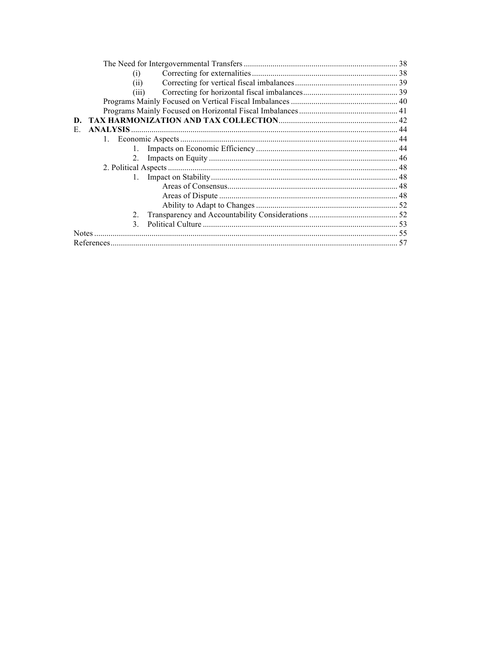| (i)                   |  |
|-----------------------|--|
| (11)                  |  |
| (iii)                 |  |
|                       |  |
|                       |  |
| D.                    |  |
| <b>ANALYSIS</b><br>Е. |  |
|                       |  |
|                       |  |
| 2.                    |  |
|                       |  |
| $\mathbf{1}$ .        |  |
|                       |  |
|                       |  |
|                       |  |
| $2_{-}$               |  |
| 3                     |  |
| <b>Notes</b>          |  |
|                       |  |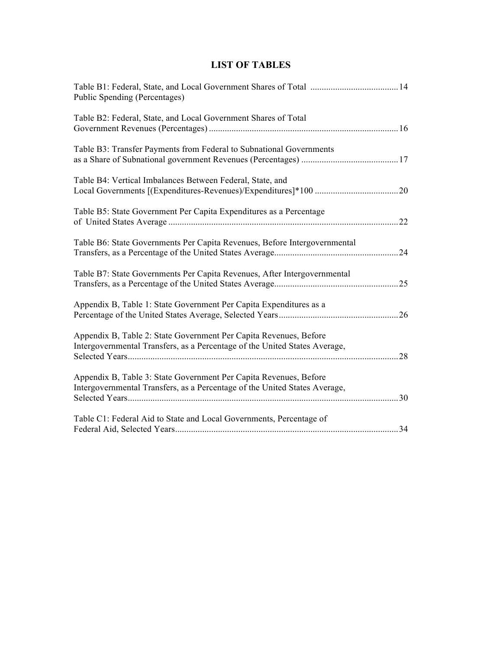## **LIST OF TABLES**

| Public Spending (Percentages)                                                                                                                   |    |
|-------------------------------------------------------------------------------------------------------------------------------------------------|----|
| Table B2: Federal, State, and Local Government Shares of Total                                                                                  |    |
| Table B3: Transfer Payments from Federal to Subnational Governments                                                                             |    |
| Table B4: Vertical Imbalances Between Federal, State, and                                                                                       | 20 |
| Table B5: State Government Per Capita Expenditures as a Percentage                                                                              | 22 |
| Table B6: State Governments Per Capita Revenues, Before Intergovernmental                                                                       | 24 |
| Table B7: State Governments Per Capita Revenues, After Intergovernmental                                                                        | 25 |
| Appendix B, Table 1: State Government Per Capita Expenditures as a                                                                              | 26 |
| Appendix B, Table 2: State Government Per Capita Revenues, Before<br>Intergovernmental Transfers, as a Percentage of the United States Average, | 28 |
| Appendix B, Table 3: State Government Per Capita Revenues, Before<br>Intergovernmental Transfers, as a Percentage of the United States Average, |    |
| Table C1: Federal Aid to State and Local Governments, Percentage of                                                                             | 34 |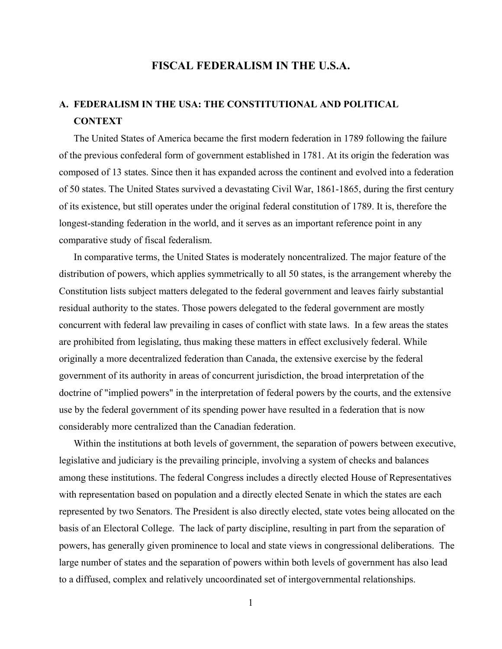## **FISCAL FEDERALISM IN THE U.S.A.**

# **A. FEDERALISM IN THE USA: THE CONSTITUTIONAL AND POLITICAL CONTEXT**

The United States of America became the first modern federation in 1789 following the failure of the previous confederal form of government established in 1781. At its origin the federation was composed of 13 states. Since then it has expanded across the continent and evolved into a federation of 50 states. The United States survived a devastating Civil War, 1861-1865, during the first century of its existence, but still operates under the original federal constitution of 1789. It is, therefore the longest-standing federation in the world, and it serves as an important reference point in any comparative study of fiscal federalism.

In comparative terms, the United States is moderately noncentralized. The major feature of the distribution of powers, which applies symmetrically to all 50 states, is the arrangement whereby the Constitution lists subject matters delegated to the federal government and leaves fairly substantial residual authority to the states. Those powers delegated to the federal government are mostly concurrent with federal law prevailing in cases of conflict with state laws. In a few areas the states are prohibited from legislating, thus making these matters in effect exclusively federal. While originally a more decentralized federation than Canada, the extensive exercise by the federal government of its authority in areas of concurrent jurisdiction, the broad interpretation of the doctrine of "implied powers" in the interpretation of federal powers by the courts, and the extensive use by the federal government of its spending power have resulted in a federation that is now considerably more centralized than the Canadian federation.

Within the institutions at both levels of government, the separation of powers between executive, legislative and judiciary is the prevailing principle, involving a system of checks and balances among these institutions. The federal Congress includes a directly elected House of Representatives with representation based on population and a directly elected Senate in which the states are each represented by two Senators. The President is also directly elected, state votes being allocated on the basis of an Electoral College. The lack of party discipline, resulting in part from the separation of powers, has generally given prominence to local and state views in congressional deliberations. The large number of states and the separation of powers within both levels of government has also lead to a diffused, complex and relatively uncoordinated set of intergovernmental relationships.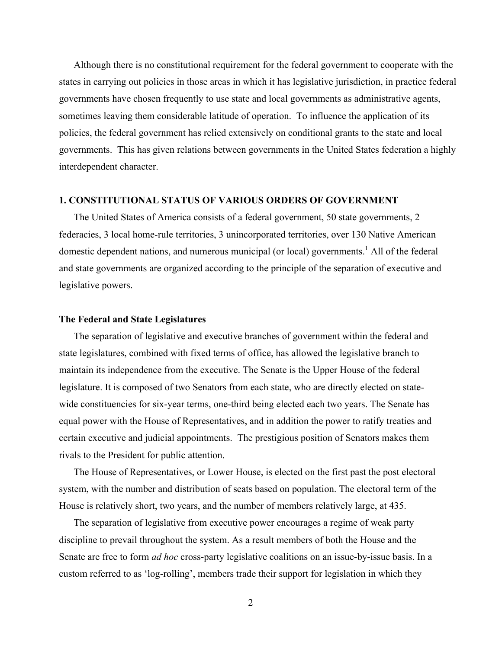Although there is no constitutional requirement for the federal government to cooperate with the states in carrying out policies in those areas in which it has legislative jurisdiction, in practice federal governments have chosen frequently to use state and local governments as administrative agents, sometimes leaving them considerable latitude of operation. To influence the application of its policies, the federal government has relied extensively on conditional grants to the state and local governments. This has given relations between governments in the United States federation a highly interdependent character.

## **1. CONSTITUTIONAL STATUS OF VARIOUS ORDERS OF GOVERNMENT**

The United States of America consists of a federal government, 50 state governments, 2 federacies, 3 local home-rule territories, 3 unincorporated territories, over 130 Native American domestic dependent nations, and numerous municipal (or local) governments.<sup>1</sup> All of the federal and state governments are organized according to the principle of the separation of executive and legislative powers.

### **The Federal and State Legislatures**

The separation of legislative and executive branches of government within the federal and state legislatures, combined with fixed terms of office, has allowed the legislative branch to maintain its independence from the executive. The Senate is the Upper House of the federal legislature. It is composed of two Senators from each state, who are directly elected on statewide constituencies for six-year terms, one-third being elected each two years. The Senate has equal power with the House of Representatives, and in addition the power to ratify treaties and certain executive and judicial appointments. The prestigious position of Senators makes them rivals to the President for public attention.

The House of Representatives, or Lower House, is elected on the first past the post electoral system, with the number and distribution of seats based on population. The electoral term of the House is relatively short, two years, and the number of members relatively large, at 435.

The separation of legislative from executive power encourages a regime of weak party discipline to prevail throughout the system. As a result members of both the House and the Senate are free to form *ad hoc* cross-party legislative coalitions on an issue-by-issue basis. In a custom referred to as 'log-rolling', members trade their support for legislation in which they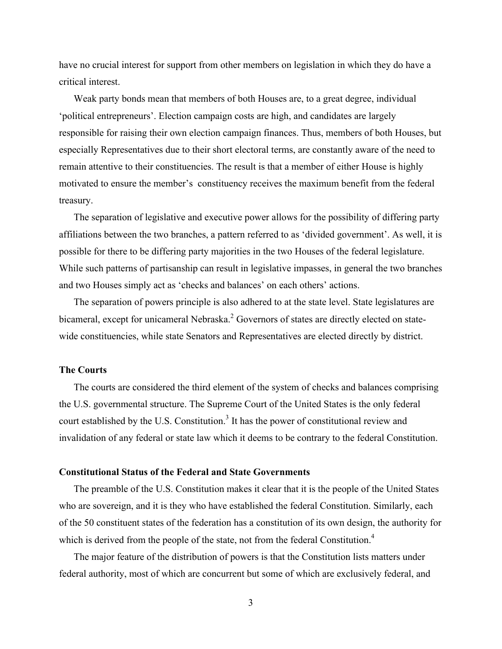have no crucial interest for support from other members on legislation in which they do have a critical interest.

Weak party bonds mean that members of both Houses are, to a great degree, individual 'political entrepreneurs'. Election campaign costs are high, and candidates are largely responsible for raising their own election campaign finances. Thus, members of both Houses, but especially Representatives due to their short electoral terms, are constantly aware of the need to remain attentive to their constituencies. The result is that a member of either House is highly motivated to ensure the member's constituency receives the maximum benefit from the federal treasury.

The separation of legislative and executive power allows for the possibility of differing party affiliations between the two branches, a pattern referred to as 'divided government'. As well, it is possible for there to be differing party majorities in the two Houses of the federal legislature. While such patterns of partisanship can result in legislative impasses, in general the two branches and two Houses simply act as 'checks and balances' on each others' actions.

The separation of powers principle is also adhered to at the state level. State legislatures are bicameral, except for unicameral Nebraska.<sup>2</sup> Governors of states are directly elected on statewide constituencies, while state Senators and Representatives are elected directly by district.

## **The Courts**

The courts are considered the third element of the system of checks and balances comprising the U.S. governmental structure. The Supreme Court of the United States is the only federal court established by the U.S. Constitution.<sup>3</sup> It has the power of constitutional review and invalidation of any federal or state law which it deems to be contrary to the federal Constitution.

## **Constitutional Status of the Federal and State Governments**

The preamble of the U.S. Constitution makes it clear that it is the people of the United States who are sovereign, and it is they who have established the federal Constitution. Similarly, each of the 50 constituent states of the federation has a constitution of its own design, the authority for which is derived from the people of the state, not from the federal Constitution.<sup>4</sup>

The major feature of the distribution of powers is that the Constitution lists matters under federal authority, most of which are concurrent but some of which are exclusively federal, and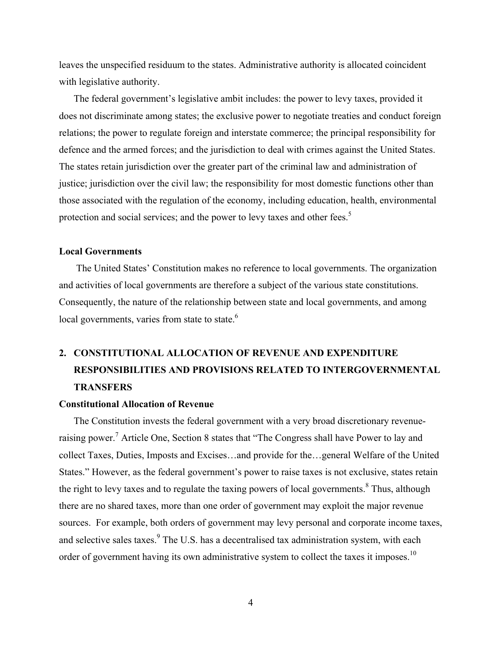leaves the unspecified residuum to the states. Administrative authority is allocated coincident with legislative authority.

The federal government's legislative ambit includes: the power to levy taxes, provided it does not discriminate among states; the exclusive power to negotiate treaties and conduct foreign relations; the power to regulate foreign and interstate commerce; the principal responsibility for defence and the armed forces; and the jurisdiction to deal with crimes against the United States. The states retain jurisdiction over the greater part of the criminal law and administration of justice; jurisdiction over the civil law; the responsibility for most domestic functions other than those associated with the regulation of the economy, including education, health, environmental protection and social services; and the power to levy taxes and other fees.<sup>5</sup>

### **Local Governments**

The United States' Constitution makes no reference to local governments. The organization and activities of local governments are therefore a subject of the various state constitutions. Consequently, the nature of the relationship between state and local governments, and among local governments, varies from state to state.<sup>6</sup>

# **2. CONSTITUTIONAL ALLOCATION OF REVENUE AND EXPENDITURE RESPONSIBILITIES AND PROVISIONS RELATED TO INTERGOVERNMENTAL TRANSFERS**

## **Constitutional Allocation of Revenue**

The Constitution invests the federal government with a very broad discretionary revenueraising power.<sup>7</sup> Article One, Section 8 states that "The Congress shall have Power to lay and collect Taxes, Duties, Imposts and Excises…and provide for the…general Welfare of the United States." However, as the federal government's power to raise taxes is not exclusive, states retain the right to levy taxes and to regulate the taxing powers of local governments.<sup>8</sup> Thus, although there are no shared taxes, more than one order of government may exploit the major revenue sources. For example, both orders of government may levy personal and corporate income taxes, and selective sales taxes.<sup>9</sup> The U.S. has a decentralised tax administration system, with each order of government having its own administrative system to collect the taxes it imposes.<sup>10</sup>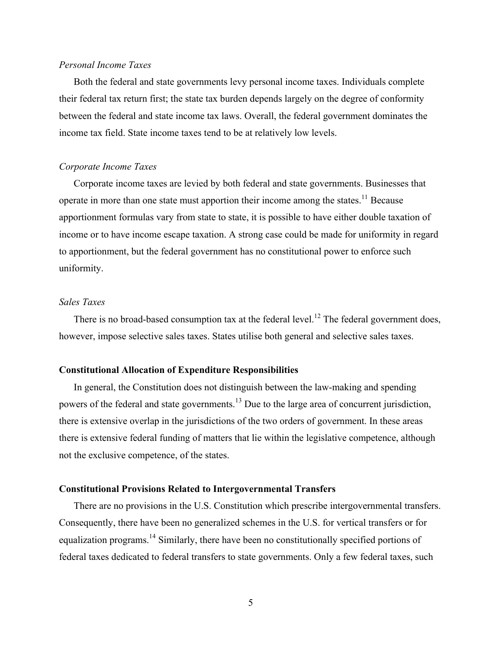## *Personal Income Taxes*

Both the federal and state governments levy personal income taxes. Individuals complete their federal tax return first; the state tax burden depends largely on the degree of conformity between the federal and state income tax laws. Overall, the federal government dominates the income tax field. State income taxes tend to be at relatively low levels.

### *Corporate Income Taxes*

Corporate income taxes are levied by both federal and state governments. Businesses that operate in more than one state must apportion their income among the states.<sup>11</sup> Because apportionment formulas vary from state to state, it is possible to have either double taxation of income or to have income escape taxation. A strong case could be made for uniformity in regard to apportionment, but the federal government has no constitutional power to enforce such uniformity.

## *Sales Taxes*

There is no broad-based consumption tax at the federal level.<sup>12</sup> The federal government does, however, impose selective sales taxes. States utilise both general and selective sales taxes.

## **Constitutional Allocation of Expenditure Responsibilities**

In general, the Constitution does not distinguish between the law-making and spending powers of the federal and state governments.<sup>13</sup> Due to the large area of concurrent jurisdiction, there is extensive overlap in the jurisdictions of the two orders of government. In these areas there is extensive federal funding of matters that lie within the legislative competence, although not the exclusive competence, of the states.

## **Constitutional Provisions Related to Intergovernmental Transfers**

There are no provisions in the U.S. Constitution which prescribe intergovernmental transfers. Consequently, there have been no generalized schemes in the U.S. for vertical transfers or for equalization programs.<sup>14</sup> Similarly, there have been no constitutionally specified portions of federal taxes dedicated to federal transfers to state governments. Only a few federal taxes, such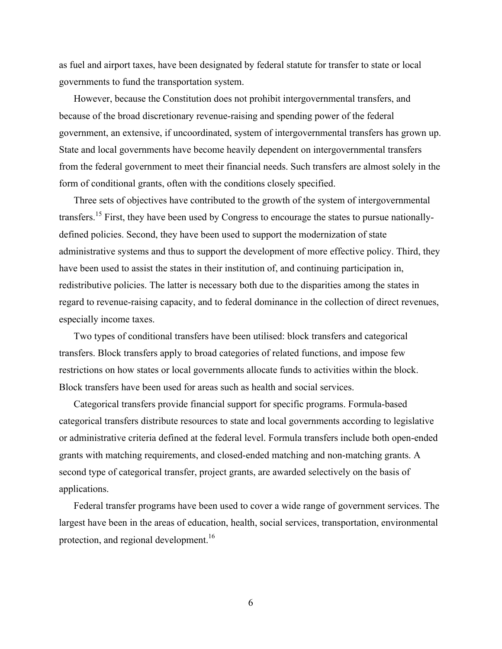as fuel and airport taxes, have been designated by federal statute for transfer to state or local governments to fund the transportation system.

However, because the Constitution does not prohibit intergovernmental transfers, and because of the broad discretionary revenue-raising and spending power of the federal government, an extensive, if uncoordinated, system of intergovernmental transfers has grown up. State and local governments have become heavily dependent on intergovernmental transfers from the federal government to meet their financial needs. Such transfers are almost solely in the form of conditional grants, often with the conditions closely specified.

Three sets of objectives have contributed to the growth of the system of intergovernmental transfers.<sup>15</sup> First, they have been used by Congress to encourage the states to pursue nationallydefined policies. Second, they have been used to support the modernization of state administrative systems and thus to support the development of more effective policy. Third, they have been used to assist the states in their institution of, and continuing participation in, redistributive policies. The latter is necessary both due to the disparities among the states in regard to revenue-raising capacity, and to federal dominance in the collection of direct revenues, especially income taxes.

Two types of conditional transfers have been utilised: block transfers and categorical transfers. Block transfers apply to broad categories of related functions, and impose few restrictions on how states or local governments allocate funds to activities within the block. Block transfers have been used for areas such as health and social services.

Categorical transfers provide financial support for specific programs. Formula-based categorical transfers distribute resources to state and local governments according to legislative or administrative criteria defined at the federal level. Formula transfers include both open-ended grants with matching requirements, and closed-ended matching and non-matching grants. A second type of categorical transfer, project grants, are awarded selectively on the basis of applications.

Federal transfer programs have been used to cover a wide range of government services. The largest have been in the areas of education, health, social services, transportation, environmental protection, and regional development.<sup>16</sup>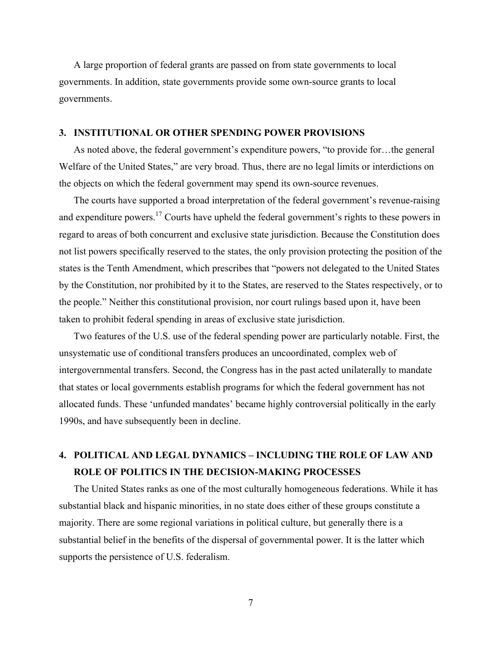A large proportion of federal grants are passed on from state governments to local governments. In addition, state governments provide some own-source grants to local governments.

### **3. INSTITUTIONAL OR OTHER SPENDING POWER PROVISIONS**

As noted above, the federal government's expenditure powers, "to provide for…the general Welfare of the United States," are very broad. Thus, there are no legal limits or interdictions on the objects on which the federal government may spend its own-source revenues.

The courts have supported a broad interpretation of the federal government's revenue-raising and expenditure powers.<sup>17</sup> Courts have upheld the federal government's rights to these powers in regard to areas of both concurrent and exclusive state jurisdiction. Because the Constitution does not list powers specifically reserved to the states, the only provision protecting the position of the states is the Tenth Amendment, which prescribes that "powers not delegated to the United States by the Constitution, nor prohibited by it to the States, are reserved to the States respectively, or to the people." Neither this constitutional provision, nor court rulings based upon it, have been taken to prohibit federal spending in areas of exclusive state jurisdiction.

Two features of the U.S. use of the federal spending power are particularly notable. First, the unsystematic use of conditional transfers produces an uncoordinated, complex web of intergovernmental transfers. Second, the Congress has in the past acted unilaterally to mandate that states or local governments establish programs for which the federal government has not allocated funds. These 'unfunded mandates' became highly controversial politically in the early 1990s, and have subsequently been in decline.

## **4. POLITICAL AND LEGAL DYNAMICS – INCLUDING THE ROLE OF LAW AND ROLE OF POLITICS IN THE DECISION-MAKING PROCESSES**

The United States ranks as one of the most culturally homogeneous federations. While it has substantial black and hispanic minorities, in no state does either of these groups constitute a majority. There are some regional variations in political culture, but generally there is a substantial belief in the benefits of the dispersal of governmental power. It is the latter which supports the persistence of U.S. federalism.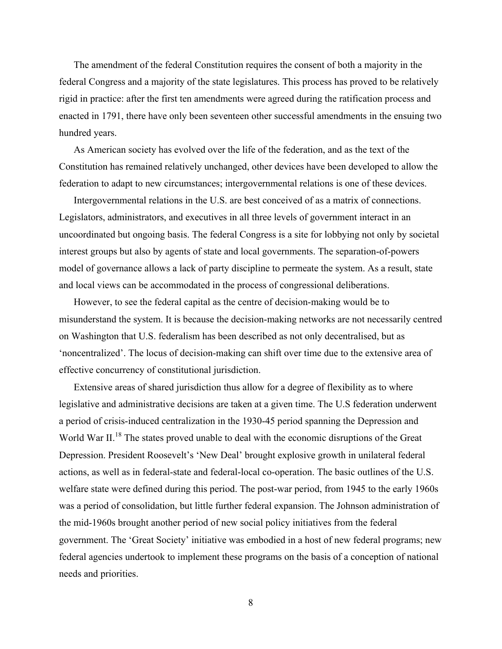The amendment of the federal Constitution requires the consent of both a majority in the federal Congress and a majority of the state legislatures. This process has proved to be relatively rigid in practice: after the first ten amendments were agreed during the ratification process and enacted in 1791, there have only been seventeen other successful amendments in the ensuing two hundred years.

As American society has evolved over the life of the federation, and as the text of the Constitution has remained relatively unchanged, other devices have been developed to allow the federation to adapt to new circumstances; intergovernmental relations is one of these devices.

Intergovernmental relations in the U.S. are best conceived of as a matrix of connections. Legislators, administrators, and executives in all three levels of government interact in an uncoordinated but ongoing basis. The federal Congress is a site for lobbying not only by societal interest groups but also by agents of state and local governments. The separation-of-powers model of governance allows a lack of party discipline to permeate the system. As a result, state and local views can be accommodated in the process of congressional deliberations.

However, to see the federal capital as the centre of decision-making would be to misunderstand the system. It is because the decision-making networks are not necessarily centred on Washington that U.S. federalism has been described as not only decentralised, but as 'noncentralized'. The locus of decision-making can shift over time due to the extensive area of effective concurrency of constitutional jurisdiction.

Extensive areas of shared jurisdiction thus allow for a degree of flexibility as to where legislative and administrative decisions are taken at a given time. The U.S federation underwent a period of crisis-induced centralization in the 1930-45 period spanning the Depression and World War II.<sup>18</sup> The states proved unable to deal with the economic disruptions of the Great Depression. President Roosevelt's 'New Deal' brought explosive growth in unilateral federal actions, as well as in federal-state and federal-local co-operation. The basic outlines of the U.S. welfare state were defined during this period. The post-war period, from 1945 to the early 1960s was a period of consolidation, but little further federal expansion. The Johnson administration of the mid-1960s brought another period of new social policy initiatives from the federal government. The 'Great Society' initiative was embodied in a host of new federal programs; new federal agencies undertook to implement these programs on the basis of a conception of national needs and priorities.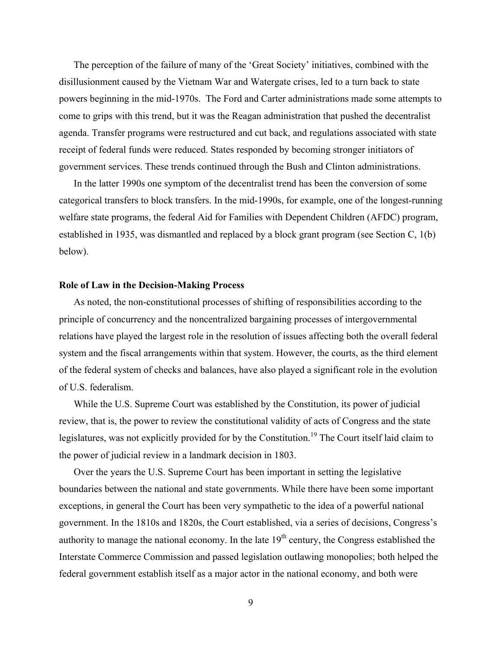The perception of the failure of many of the 'Great Society' initiatives, combined with the disillusionment caused by the Vietnam War and Watergate crises, led to a turn back to state powers beginning in the mid-1970s. The Ford and Carter administrations made some attempts to come to grips with this trend, but it was the Reagan administration that pushed the decentralist agenda. Transfer programs were restructured and cut back, and regulations associated with state receipt of federal funds were reduced. States responded by becoming stronger initiators of government services. These trends continued through the Bush and Clinton administrations.

In the latter 1990s one symptom of the decentralist trend has been the conversion of some categorical transfers to block transfers. In the mid-1990s, for example, one of the longest-running welfare state programs, the federal Aid for Families with Dependent Children (AFDC) program, established in 1935, was dismantled and replaced by a block grant program (see Section C, 1(b) below).

### **Role of Law in the Decision-Making Process**

As noted, the non-constitutional processes of shifting of responsibilities according to the principle of concurrency and the noncentralized bargaining processes of intergovernmental relations have played the largest role in the resolution of issues affecting both the overall federal system and the fiscal arrangements within that system. However, the courts, as the third element of the federal system of checks and balances, have also played a significant role in the evolution of U.S. federalism.

While the U.S. Supreme Court was established by the Constitution, its power of judicial review, that is, the power to review the constitutional validity of acts of Congress and the state legislatures, was not explicitly provided for by the Constitution.<sup>19</sup> The Court itself laid claim to the power of judicial review in a landmark decision in 1803.

Over the years the U.S. Supreme Court has been important in setting the legislative boundaries between the national and state governments. While there have been some important exceptions, in general the Court has been very sympathetic to the idea of a powerful national government. In the 1810s and 1820s, the Court established, via a series of decisions, Congress's authority to manage the national economy. In the late  $19<sup>th</sup>$  century, the Congress established the Interstate Commerce Commission and passed legislation outlawing monopolies; both helped the federal government establish itself as a major actor in the national economy, and both were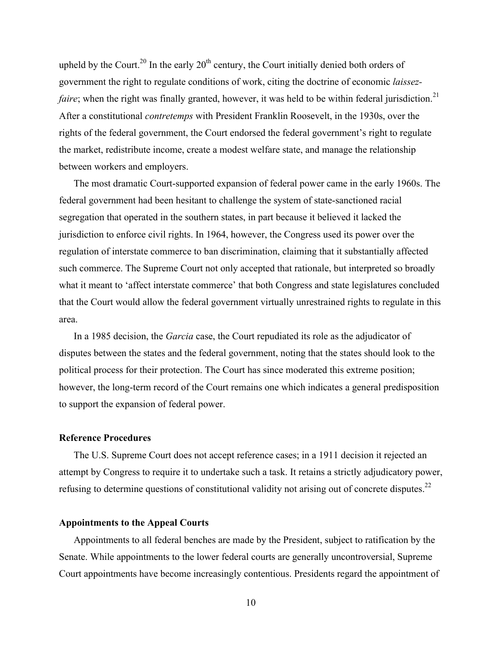upheld by the Court.<sup>20</sup> In the early  $20<sup>th</sup>$  century, the Court initially denied both orders of government the right to regulate conditions of work, citing the doctrine of economic *laissezfaire*; when the right was finally granted, however, it was held to be within federal jurisdiction.<sup>21</sup> After a constitutional *contretemps* with President Franklin Roosevelt, in the 1930s, over the rights of the federal government, the Court endorsed the federal government's right to regulate the market, redistribute income, create a modest welfare state, and manage the relationship between workers and employers.

The most dramatic Court-supported expansion of federal power came in the early 1960s. The federal government had been hesitant to challenge the system of state-sanctioned racial segregation that operated in the southern states, in part because it believed it lacked the jurisdiction to enforce civil rights. In 1964, however, the Congress used its power over the regulation of interstate commerce to ban discrimination, claiming that it substantially affected such commerce. The Supreme Court not only accepted that rationale, but interpreted so broadly what it meant to 'affect interstate commerce' that both Congress and state legislatures concluded that the Court would allow the federal government virtually unrestrained rights to regulate in this area.

In a 1985 decision, the *Garcia* case, the Court repudiated its role as the adjudicator of disputes between the states and the federal government, noting that the states should look to the political process for their protection. The Court has since moderated this extreme position; however, the long-term record of the Court remains one which indicates a general predisposition to support the expansion of federal power.

## **Reference Procedures**

The U.S. Supreme Court does not accept reference cases; in a 1911 decision it rejected an attempt by Congress to require it to undertake such a task. It retains a strictly adjudicatory power, refusing to determine questions of constitutional validity not arising out of concrete disputes.<sup>22</sup>

## **Appointments to the Appeal Courts**

Appointments to all federal benches are made by the President, subject to ratification by the Senate. While appointments to the lower federal courts are generally uncontroversial, Supreme Court appointments have become increasingly contentious. Presidents regard the appointment of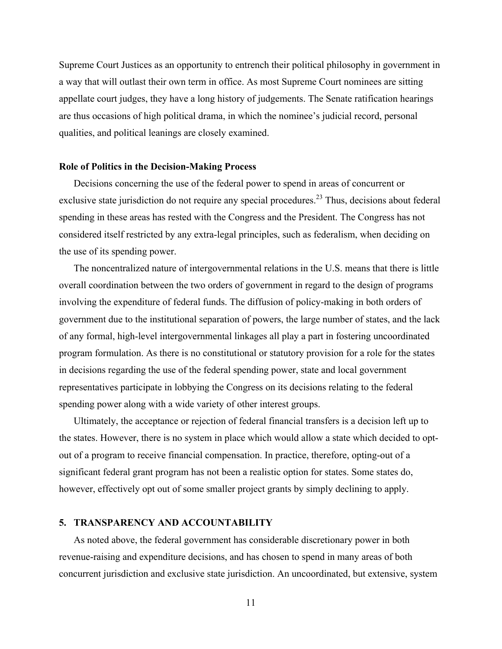Supreme Court Justices as an opportunity to entrench their political philosophy in government in a way that will outlast their own term in office. As most Supreme Court nominees are sitting appellate court judges, they have a long history of judgements. The Senate ratification hearings are thus occasions of high political drama, in which the nominee's judicial record, personal qualities, and political leanings are closely examined.

### **Role of Politics in the Decision-Making Process**

Decisions concerning the use of the federal power to spend in areas of concurrent or exclusive state jurisdiction do not require any special procedures.<sup>23</sup> Thus, decisions about federal spending in these areas has rested with the Congress and the President. The Congress has not considered itself restricted by any extra-legal principles, such as federalism, when deciding on the use of its spending power.

The noncentralized nature of intergovernmental relations in the U.S. means that there is little overall coordination between the two orders of government in regard to the design of programs involving the expenditure of federal funds. The diffusion of policy-making in both orders of government due to the institutional separation of powers, the large number of states, and the lack of any formal, high-level intergovernmental linkages all play a part in fostering uncoordinated program formulation. As there is no constitutional or statutory provision for a role for the states in decisions regarding the use of the federal spending power, state and local government representatives participate in lobbying the Congress on its decisions relating to the federal spending power along with a wide variety of other interest groups.

Ultimately, the acceptance or rejection of federal financial transfers is a decision left up to the states. However, there is no system in place which would allow a state which decided to optout of a program to receive financial compensation. In practice, therefore, opting-out of a significant federal grant program has not been a realistic option for states. Some states do, however, effectively opt out of some smaller project grants by simply declining to apply.

## **5. TRANSPARENCY AND ACCOUNTABILITY**

As noted above, the federal government has considerable discretionary power in both revenue-raising and expenditure decisions, and has chosen to spend in many areas of both concurrent jurisdiction and exclusive state jurisdiction. An uncoordinated, but extensive, system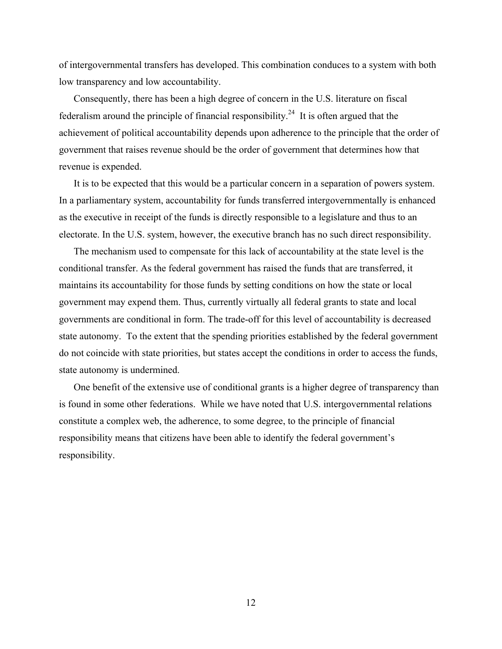of intergovernmental transfers has developed. This combination conduces to a system with both low transparency and low accountability.

Consequently, there has been a high degree of concern in the U.S. literature on fiscal federalism around the principle of financial responsibility.<sup>24</sup> It is often argued that the achievement of political accountability depends upon adherence to the principle that the order of government that raises revenue should be the order of government that determines how that revenue is expended.

It is to be expected that this would be a particular concern in a separation of powers system. In a parliamentary system, accountability for funds transferred intergovernmentally is enhanced as the executive in receipt of the funds is directly responsible to a legislature and thus to an electorate. In the U.S. system, however, the executive branch has no such direct responsibility.

The mechanism used to compensate for this lack of accountability at the state level is the conditional transfer. As the federal government has raised the funds that are transferred, it maintains its accountability for those funds by setting conditions on how the state or local government may expend them. Thus, currently virtually all federal grants to state and local governments are conditional in form. The trade-off for this level of accountability is decreased state autonomy. To the extent that the spending priorities established by the federal government do not coincide with state priorities, but states accept the conditions in order to access the funds, state autonomy is undermined.

One benefit of the extensive use of conditional grants is a higher degree of transparency than is found in some other federations. While we have noted that U.S. intergovernmental relations constitute a complex web, the adherence, to some degree, to the principle of financial responsibility means that citizens have been able to identify the federal government's responsibility.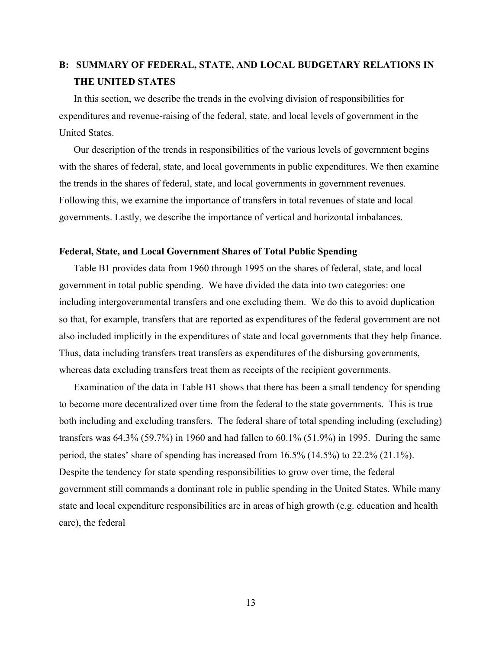## **B: SUMMARY OF FEDERAL, STATE, AND LOCAL BUDGETARY RELATIONS IN THE UNITED STATES**

In this section, we describe the trends in the evolving division of responsibilities for expenditures and revenue-raising of the federal, state, and local levels of government in the United States.

Our description of the trends in responsibilities of the various levels of government begins with the shares of federal, state, and local governments in public expenditures. We then examine the trends in the shares of federal, state, and local governments in government revenues. Following this, we examine the importance of transfers in total revenues of state and local governments. Lastly, we describe the importance of vertical and horizontal imbalances.

### **Federal, State, and Local Government Shares of Total Public Spending**

Table B1 provides data from 1960 through 1995 on the shares of federal, state, and local government in total public spending. We have divided the data into two categories: one including intergovernmental transfers and one excluding them. We do this to avoid duplication so that, for example, transfers that are reported as expenditures of the federal government are not also included implicitly in the expenditures of state and local governments that they help finance. Thus, data including transfers treat transfers as expenditures of the disbursing governments, whereas data excluding transfers treat them as receipts of the recipient governments.

Examination of the data in Table B1 shows that there has been a small tendency for spending to become more decentralized over time from the federal to the state governments. This is true both including and excluding transfers. The federal share of total spending including (excluding) transfers was 64.3% (59.7%) in 1960 and had fallen to 60.1% (51.9%) in 1995. During the same period, the states' share of spending has increased from 16.5% (14.5%) to 22.2% (21.1%). Despite the tendency for state spending responsibilities to grow over time, the federal government still commands a dominant role in public spending in the United States. While many state and local expenditure responsibilities are in areas of high growth (e.g. education and health care), the federal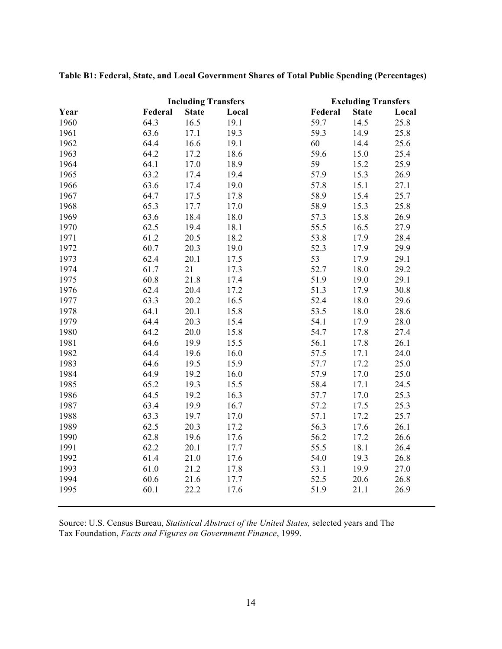| <b>Including Transfers</b> |         | <b>Excluding Transfers</b> |       |         |              |       |
|----------------------------|---------|----------------------------|-------|---------|--------------|-------|
| Year                       | Federal | <b>State</b>               | Local | Federal | <b>State</b> | Local |
| 1960                       | 64.3    | 16.5                       | 19.1  | 59.7    | 14.5         | 25.8  |
| 1961                       | 63.6    | 17.1                       | 19.3  | 59.3    | 14.9         | 25.8  |
| 1962                       | 64.4    | 16.6                       | 19.1  | 60      | 14.4         | 25.6  |
| 1963                       | 64.2    | 17.2                       | 18.6  | 59.6    | 15.0         | 25.4  |
| 1964                       | 64.1    | 17.0                       | 18.9  | 59      | 15.2         | 25.9  |
| 1965                       | 63.2    | 17.4                       | 19.4  | 57.9    | 15.3         | 26.9  |
| 1966                       | 63.6    | 17.4                       | 19.0  | 57.8    | 15.1         | 27.1  |
| 1967                       | 64.7    | 17.5                       | 17.8  | 58.9    | 15.4         | 25.7  |
| 1968                       | 65.3    | 17.7                       | 17.0  | 58.9    | 15.3         | 25.8  |
| 1969                       | 63.6    | 18.4                       | 18.0  | 57.3    | 15.8         | 26.9  |
| 1970                       | 62.5    | 19.4                       | 18.1  | 55.5    | 16.5         | 27.9  |
| 1971                       | 61.2    | 20.5                       | 18.2  | 53.8    | 17.9         | 28.4  |
| 1972                       | 60.7    | 20.3                       | 19.0  | 52.3    | 17.9         | 29.9  |
| 1973                       | 62.4    | 20.1                       | 17.5  | 53      | 17.9         | 29.1  |
| 1974                       | 61.7    | 21                         | 17.3  | 52.7    | 18.0         | 29.2  |
| 1975                       | 60.8    | 21.8                       | 17.4  | 51.9    | 19.0         | 29.1  |
| 1976                       | 62.4    | 20.4                       | 17.2  | 51.3    | 17.9         | 30.8  |
| 1977                       | 63.3    | 20.2                       | 16.5  | 52.4    | 18.0         | 29.6  |
| 1978                       | 64.1    | 20.1                       | 15.8  | 53.5    | 18.0         | 28.6  |
| 1979                       | 64.4    | 20.3                       | 15.4  | 54.1    | 17.9         | 28.0  |
| 1980                       | 64.2    | 20.0                       | 15.8  | 54.7    | 17.8         | 27.4  |
| 1981                       | 64.6    | 19.9                       | 15.5  | 56.1    | 17.8         | 26.1  |
| 1982                       | 64.4    | 19.6                       | 16.0  | 57.5    | 17.1         | 24.0  |
| 1983                       | 64.6    | 19.5                       | 15.9  | 57.7    | 17.2         | 25.0  |
| 1984                       | 64.9    | 19.2                       | 16.0  | 57.9    | 17.0         | 25.0  |
| 1985                       | 65.2    | 19.3                       | 15.5  | 58.4    | 17.1         | 24.5  |
| 1986                       | 64.5    | 19.2                       | 16.3  | 57.7    | 17.0         | 25.3  |
| 1987                       | 63.4    | 19.9                       | 16.7  | 57.2    | 17.5         | 25.3  |
| 1988                       | 63.3    | 19.7                       | 17.0  | 57.1    | 17.2         | 25.7  |
| 1989                       | 62.5    | 20.3                       | 17.2  | 56.3    | 17.6         | 26.1  |
| 1990                       | 62.8    | 19.6                       | 17.6  | 56.2    | 17.2         | 26.6  |
| 1991                       | 62.2    | 20.1                       | 17.7  | 55.5    | 18.1         | 26.4  |
| 1992                       | 61.4    | 21.0                       | 17.6  | 54.0    | 19.3         | 26.8  |
| 1993                       | 61.0    | 21.2                       | 17.8  | 53.1    | 19.9         | 27.0  |
| 1994                       | 60.6    | 21.6                       | 17.7  | 52.5    | 20.6         | 26.8  |
| 1995                       | 60.1    | 22.2                       | 17.6  | 51.9    | 21.1         | 26.9  |

**Table B1: Federal, State, and Local Government Shares of Total Public Spending (Percentages)**

Source: U.S. Census Bureau, *Statistical Abstract of the United States,* selected years and The Tax Foundation, *Facts and Figures on Government Finance*, 1999.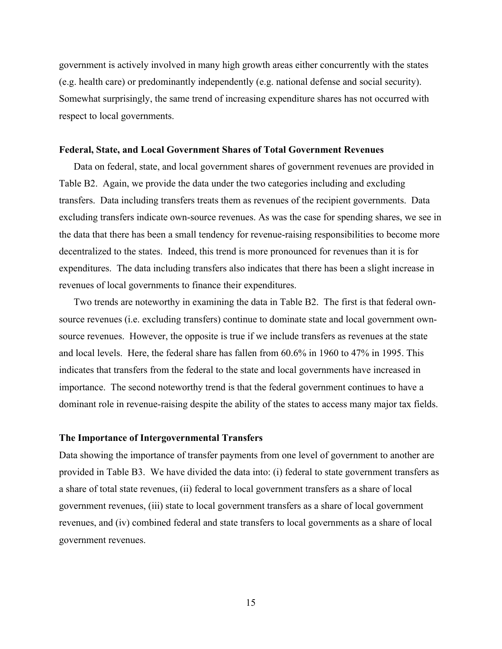government is actively involved in many high growth areas either concurrently with the states (e.g. health care) or predominantly independently (e.g. national defense and social security). Somewhat surprisingly, the same trend of increasing expenditure shares has not occurred with respect to local governments.

### **Federal, State, and Local Government Shares of Total Government Revenues**

Data on federal, state, and local government shares of government revenues are provided in Table B2. Again, we provide the data under the two categories including and excluding transfers. Data including transfers treats them as revenues of the recipient governments. Data excluding transfers indicate own-source revenues. As was the case for spending shares, we see in the data that there has been a small tendency for revenue-raising responsibilities to become more decentralized to the states. Indeed, this trend is more pronounced for revenues than it is for expenditures. The data including transfers also indicates that there has been a slight increase in revenues of local governments to finance their expenditures.

Two trends are noteworthy in examining the data in Table B2. The first is that federal ownsource revenues (i.e. excluding transfers) continue to dominate state and local government ownsource revenues. However, the opposite is true if we include transfers as revenues at the state and local levels. Here, the federal share has fallen from 60.6% in 1960 to 47% in 1995. This indicates that transfers from the federal to the state and local governments have increased in importance. The second noteworthy trend is that the federal government continues to have a dominant role in revenue-raising despite the ability of the states to access many major tax fields.

### **The Importance of Intergovernmental Transfers**

Data showing the importance of transfer payments from one level of government to another are provided in Table B3. We have divided the data into: (i) federal to state government transfers as a share of total state revenues, (ii) federal to local government transfers as a share of local government revenues, (iii) state to local government transfers as a share of local government revenues, and (iv) combined federal and state transfers to local governments as a share of local government revenues.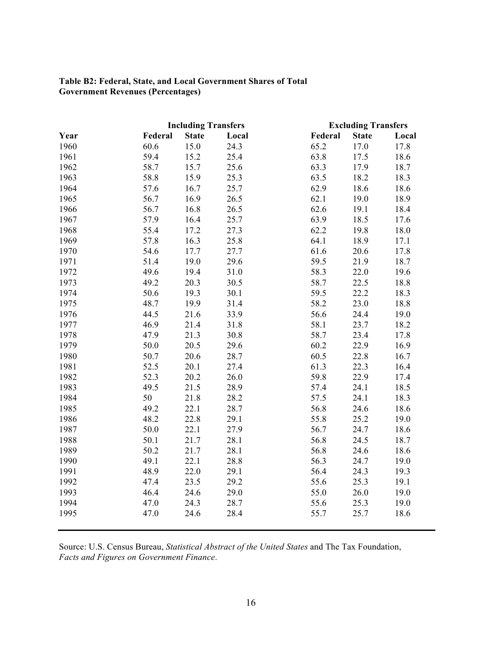## **Table B2: Federal, State, and Local Government Shares of Total Government Revenues (Percentages)**

|      |         | <b>Including Transfers</b> |       |         | <b>Excluding Transfers</b> |       |
|------|---------|----------------------------|-------|---------|----------------------------|-------|
| Year | Federal | <b>State</b>               | Local | Federal | <b>State</b>               | Local |
| 1960 | 60.6    | 15.0                       | 24.3  | 65.2    | 17.0                       | 17.8  |
| 1961 | 59.4    | 15.2                       | 25.4  | 63.8    | 17.5                       | 18.6  |
| 1962 | 58.7    | 15.7                       | 25.6  | 63.3    | 17.9                       | 18.7  |
| 1963 | 58.8    | 15.9                       | 25.3  | 63.5    | 18.2                       | 18.3  |
| 1964 | 57.6    | 16.7                       | 25.7  | 62.9    | 18.6                       | 18.6  |
| 1965 | 56.7    | 16.9                       | 26.5  | 62.1    | 19.0                       | 18.9  |
| 1966 | 56.7    | 16.8                       | 26.5  | 62.6    | 19.1                       | 18.4  |
| 1967 | 57.9    | 16.4                       | 25.7  | 63.9    | 18.5                       | 17.6  |
| 1968 | 55.4    | 17.2                       | 27.3  | 62.2    | 19.8                       | 18.0  |
| 1969 | 57.8    | 16.3                       | 25.8  | 64.1    | 18.9                       | 17.1  |
| 1970 | 54.6    | 17.7                       | 27.7  | 61.6    | 20.6                       | 17.8  |
| 1971 | 51.4    | 19.0                       | 29.6  | 59.5    | 21.9                       | 18.7  |
| 1972 | 49.6    | 19.4                       | 31.0  | 58.3    | 22.0                       | 19.6  |
| 1973 | 49.2    | 20.3                       | 30.5  | 58.7    | 22.5                       | 18.8  |
| 1974 | 50.6    | 19.3                       | 30.1  | 59.5    | 22.2                       | 18.3  |
| 1975 | 48.7    | 19.9                       | 31.4  | 58.2    | 23.0                       | 18.8  |
| 1976 | 44.5    | 21.6                       | 33.9  | 56.6    | 24.4                       | 19.0  |
| 1977 | 46.9    | 21.4                       | 31.8  | 58.1    | 23.7                       | 18.2  |
| 1978 | 47.9    | 21.3                       | 30.8  | 58.7    | 23.4                       | 17.8  |
| 1979 | 50.0    | 20.5                       | 29.6  | 60.2    | 22.9                       | 16.9  |
| 1980 | 50.7    | 20.6                       | 28.7  | 60.5    | 22.8                       | 16.7  |
| 1981 | 52.5    | 20.1                       | 27.4  | 61.3    | 22.3                       | 16.4  |
| 1982 | 52.3    | 20.2                       | 26.0  | 59.8    | 22.9                       | 17.4  |
| 1983 | 49.5    | 21.5                       | 28.9  | 57.4    | 24.1                       | 18.5  |
| 1984 | 50      | 21.8                       | 28.2  | 57.5    | 24.1                       | 18.3  |
| 1985 | 49.2    | 22.1                       | 28.7  | 56.8    | 24.6                       | 18.6  |
| 1986 | 48.2    | 22.8                       | 29.1  | 55.8    | 25.2                       | 19.0  |
| 1987 | 50.0    | 22.1                       | 27.9  | 56.7    | 24.7                       | 18.6  |
| 1988 | 50.1    | 21.7                       | 28.1  | 56.8    | 24.5                       | 18.7  |
| 1989 | 50.2    | 21.7                       | 28.1  | 56.8    | 24.6                       | 18.6  |
| 1990 | 49.1    | 22.1                       | 28.8  | 56.3    | 24.7                       | 19.0  |
| 1991 | 48.9    | 22.0                       | 29.1  | 56.4    | 24.3                       | 19.3  |
| 1992 | 47.4    | 23.5                       | 29.2  | 55.6    | 25.3                       | 19.1  |
| 1993 | 46.4    | 24.6                       | 29.0  | 55.0    | 26.0                       | 19.0  |
| 1994 | 47.0    | 24.3                       | 28.7  | 55.6    | 25.3                       | 19.0  |
| 1995 | 47.0    | 24.6                       | 28.4  | 55.7    | 25.7                       | 18.6  |
|      |         |                            |       |         |                            |       |

Source: U.S. Census Bureau, *Statistical Abstract of the United States* and The Tax Foundation, *Facts and Figures on Government Finance*.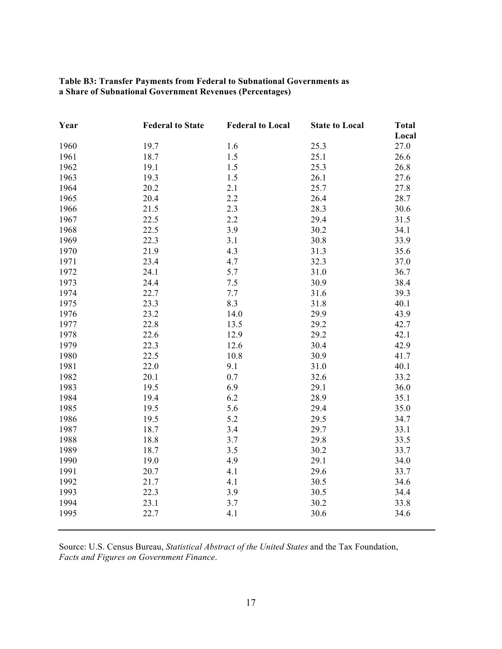| Table B3: Transfer Payments from Federal to Subnational Governments as |  |
|------------------------------------------------------------------------|--|
| a Share of Subnational Government Revenues (Percentages)               |  |

| Year | <b>Federal to State</b> | <b>Federal to Local</b> | <b>State to Local</b> | <b>Total</b> |
|------|-------------------------|-------------------------|-----------------------|--------------|
|      |                         |                         |                       | Local        |
| 1960 | 19.7                    | 1.6                     | 25.3                  | 27.0         |
| 1961 | 18.7                    | 1.5                     | 25.1                  | 26.6         |
| 1962 | 19.1                    | 1.5                     | 25.3                  | 26.8         |
| 1963 | 19.3                    | 1.5                     | 26.1                  | 27.6         |
| 1964 | 20.2                    | 2.1                     | 25.7                  | 27.8         |
| 1965 | 20.4                    | 2.2                     | 26.4                  | 28.7         |
| 1966 | 21.5                    | 2.3                     | 28.3                  | 30.6         |
| 1967 | 22.5                    | 2.2                     | 29.4                  | 31.5         |
| 1968 | 22.5                    | 3.9                     | 30.2                  | 34.1         |
| 1969 | 22.3                    | 3.1                     | 30.8                  | 33.9         |
| 1970 | 21.9                    | 4.3                     | 31.3                  | 35.6         |
| 1971 | 23.4                    | 4.7                     | 32.3                  | 37.0         |
| 1972 | 24.1                    | 5.7                     | 31.0                  | 36.7         |
| 1973 | 24.4                    | 7.5                     | 30.9                  | 38.4         |
| 1974 | 22.7                    | 7.7                     | 31.6                  | 39.3         |
| 1975 | 23.3                    | 8.3                     | 31.8                  | 40.1         |
| 1976 | 23.2                    | 14.0                    | 29.9                  | 43.9         |
| 1977 | 22.8                    | 13.5                    | 29.2                  | 42.7         |
| 1978 | 22.6                    | 12.9                    | 29.2                  | 42.1         |
| 1979 | 22.3                    | 12.6                    | 30.4                  | 42.9         |
| 1980 | 22.5                    | 10.8                    | 30.9                  | 41.7         |
| 1981 | 22.0                    | 9.1                     | 31.0                  | 40.1         |
| 1982 | 20.1                    | 0.7                     | 32.6                  | 33.2         |
| 1983 | 19.5                    | 6.9                     | 29.1                  | 36.0         |
| 1984 | 19.4                    | 6.2                     | 28.9                  | 35.1         |
| 1985 | 19.5                    | 5.6                     | 29.4                  | 35.0         |
| 1986 | 19.5                    | 5.2                     | 29.5                  | 34.7         |
| 1987 | 18.7                    | 3.4                     | 29.7                  | 33.1         |
| 1988 | 18.8                    | 3.7                     | 29.8                  | 33.5         |
| 1989 | 18.7                    | 3.5                     | 30.2                  | 33.7         |
| 1990 | 19.0                    | 4.9                     | 29.1                  | 34.0         |
| 1991 | 20.7                    | 4.1                     | 29.6                  | 33.7         |
| 1992 | 21.7                    | 4.1                     | 30.5                  | 34.6         |
| 1993 | 22.3                    | 3.9                     | 30.5                  | 34.4         |
| 1994 | 23.1                    | 3.7                     | 30.2                  | 33.8         |
| 1995 | 22.7                    | 4.1                     | 30.6                  | 34.6         |
|      |                         |                         |                       |              |

Source: U.S. Census Bureau, *Statistical Abstract of the United States* and the Tax Foundation, *Facts and Figures on Government Finance*.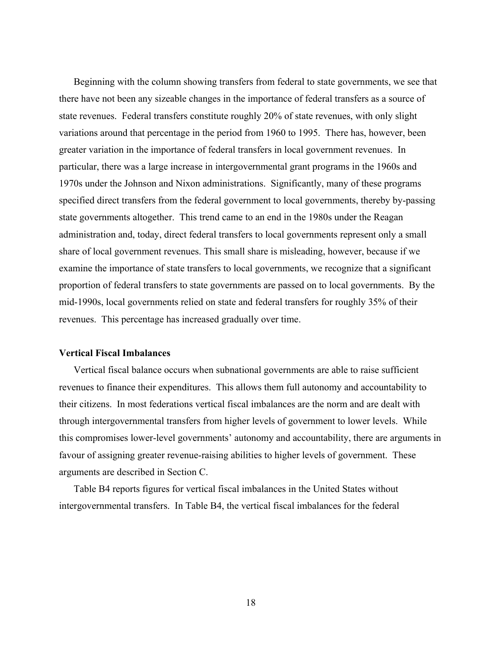Beginning with the column showing transfers from federal to state governments, we see that there have not been any sizeable changes in the importance of federal transfers as a source of state revenues. Federal transfers constitute roughly 20% of state revenues, with only slight variations around that percentage in the period from 1960 to 1995. There has, however, been greater variation in the importance of federal transfers in local government revenues. In particular, there was a large increase in intergovernmental grant programs in the 1960s and 1970s under the Johnson and Nixon administrations. Significantly, many of these programs specified direct transfers from the federal government to local governments, thereby by-passing state governments altogether. This trend came to an end in the 1980s under the Reagan administration and, today, direct federal transfers to local governments represent only a small share of local government revenues. This small share is misleading, however, because if we examine the importance of state transfers to local governments, we recognize that a significant proportion of federal transfers to state governments are passed on to local governments. By the mid-1990s, local governments relied on state and federal transfers for roughly 35% of their revenues. This percentage has increased gradually over time.

### **Vertical Fiscal Imbalances**

Vertical fiscal balance occurs when subnational governments are able to raise sufficient revenues to finance their expenditures. This allows them full autonomy and accountability to their citizens. In most federations vertical fiscal imbalances are the norm and are dealt with through intergovernmental transfers from higher levels of government to lower levels. While this compromises lower-level governments' autonomy and accountability, there are arguments in favour of assigning greater revenue-raising abilities to higher levels of government. These arguments are described in Section C.

Table B4 reports figures for vertical fiscal imbalances in the United States without intergovernmental transfers. In Table B4, the vertical fiscal imbalances for the federal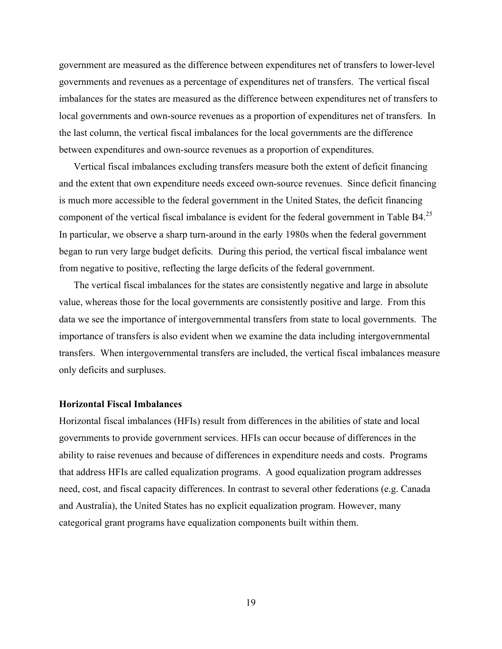government are measured as the difference between expenditures net of transfers to lower-level governments and revenues as a percentage of expenditures net of transfers. The vertical fiscal imbalances for the states are measured as the difference between expenditures net of transfers to local governments and own-source revenues as a proportion of expenditures net of transfers. In the last column, the vertical fiscal imbalances for the local governments are the difference between expenditures and own-source revenues as a proportion of expenditures.

Vertical fiscal imbalances excluding transfers measure both the extent of deficit financing and the extent that own expenditure needs exceed own-source revenues. Since deficit financing is much more accessible to the federal government in the United States, the deficit financing component of the vertical fiscal imbalance is evident for the federal government in Table  $B4<sup>25</sup>$ In particular, we observe a sharp turn-around in the early 1980s when the federal government began to run very large budget deficits. During this period, the vertical fiscal imbalance went from negative to positive, reflecting the large deficits of the federal government.

The vertical fiscal imbalances for the states are consistently negative and large in absolute value, whereas those for the local governments are consistently positive and large. From this data we see the importance of intergovernmental transfers from state to local governments. The importance of transfers is also evident when we examine the data including intergovernmental transfers. When intergovernmental transfers are included, the vertical fiscal imbalances measure only deficits and surpluses.

## **Horizontal Fiscal Imbalances**

Horizontal fiscal imbalances (HFIs) result from differences in the abilities of state and local governments to provide government services. HFIs can occur because of differences in the ability to raise revenues and because of differences in expenditure needs and costs. Programs that address HFIs are called equalization programs. A good equalization program addresses need, cost, and fiscal capacity differences. In contrast to several other federations (e.g. Canada and Australia), the United States has no explicit equalization program. However, many categorical grant programs have equalization components built within them.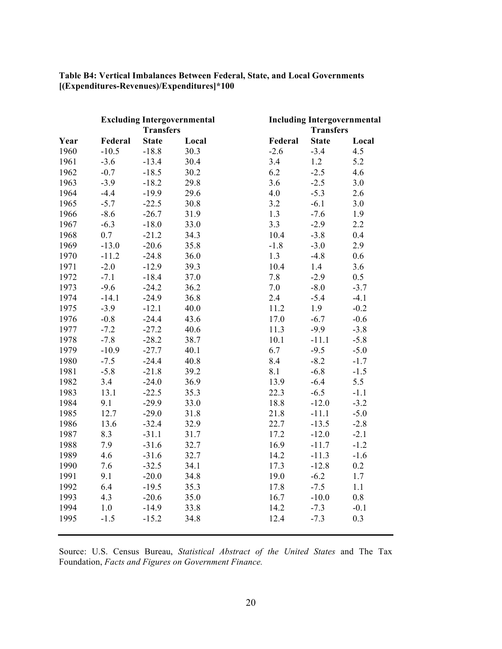|      |         | <b>Excluding Intergovernmental</b><br><b>Transfers</b> |       |         | <b>Including Intergovernmental</b><br><b>Transfers</b> |        |
|------|---------|--------------------------------------------------------|-------|---------|--------------------------------------------------------|--------|
| Year | Federal | <b>State</b>                                           | Local | Federal | <b>State</b>                                           | Local  |
| 1960 | $-10.5$ | $-18.8$                                                | 30.3  | $-2.6$  | $-3.4$                                                 | 4.5    |
| 1961 | $-3.6$  | $-13.4$                                                | 30.4  | 3.4     | 1.2                                                    | 5.2    |
| 1962 | $-0.7$  | $-18.5$                                                | 30.2  | 6.2     | $-2.5$                                                 | 4.6    |
| 1963 | $-3.9$  | $-18.2$                                                | 29.8  | 3.6     | $-2.5$                                                 | 3.0    |
| 1964 | $-4.4$  | $-19.9$                                                | 29.6  | 4.0     | $-5.3$                                                 | 2.6    |
| 1965 | $-5.7$  | $-22.5$                                                | 30.8  | 3.2     | $-6.1$                                                 | 3.0    |
| 1966 | $-8.6$  | $-26.7$                                                | 31.9  | 1.3     | $-7.6$                                                 | 1.9    |
| 1967 | $-6.3$  | $-18.0$                                                | 33.0  | 3.3     | $-2.9$                                                 | 2.2    |
| 1968 | 0.7     | $-21.2$                                                | 34.3  | 10.4    | $-3.8$                                                 | 0.4    |
| 1969 | $-13.0$ | $-20.6$                                                | 35.8  | $-1.8$  | $-3.0$                                                 | 2.9    |
| 1970 | $-11.2$ | $-24.8$                                                | 36.0  | 1.3     | $-4.8$                                                 | 0.6    |
| 1971 | $-2.0$  | $-12.9$                                                | 39.3  | 10.4    | 1.4                                                    | 3.6    |
| 1972 | $-7.1$  | $-18.4$                                                | 37.0  | 7.8     | $-2.9$                                                 | 0.5    |
| 1973 | $-9.6$  | $-24.2$                                                | 36.2  | 7.0     | $-8.0$                                                 | $-3.7$ |
| 1974 | $-14.1$ | $-24.9$                                                | 36.8  | 2.4     | $-5.4$                                                 | $-4.1$ |
| 1975 | $-3.9$  | $-12.1$                                                | 40.0  | 11.2    | 1.9                                                    | $-0.2$ |
| 1976 | $-0.8$  | $-24.4$                                                | 43.6  | 17.0    | $-6.7$                                                 | $-0.6$ |
| 1977 | $-7.2$  | $-27.2$                                                | 40.6  | 11.3    | $-9.9$                                                 | $-3.8$ |
| 1978 | $-7.8$  | $-28.2$                                                | 38.7  | 10.1    | $-11.1$                                                | $-5.8$ |
| 1979 | $-10.9$ | $-27.7$                                                | 40.1  | 6.7     | $-9.5$                                                 | $-5.0$ |
| 1980 | $-7.5$  | $-24.4$                                                | 40.8  | 8.4     | $-8.2$                                                 | $-1.7$ |
| 1981 | $-5.8$  | $-21.8$                                                | 39.2  | 8.1     | $-6.8$                                                 | $-1.5$ |
| 1982 | 3.4     | $-24.0$                                                | 36.9  | 13.9    | $-6.4$                                                 | 5.5    |
| 1983 | 13.1    | $-22.5$                                                | 35.3  | 22.3    | $-6.5$                                                 | $-1.1$ |
| 1984 | 9.1     | $-29.9$                                                | 33.0  | 18.8    | $-12.0$                                                | $-3.2$ |
| 1985 | 12.7    | $-29.0$                                                | 31.8  | 21.8    | $-11.1$                                                | $-5.0$ |
| 1986 | 13.6    | $-32.4$                                                | 32.9  | 22.7    | $-13.5$                                                | $-2.8$ |
| 1987 | 8.3     | $-31.1$                                                | 31.7  | 17.2    | $-12.0$                                                | $-2.1$ |
| 1988 | 7.9     | $-31.6$                                                | 32.7  | 16.9    | $-11.7$                                                | $-1.2$ |
| 1989 | 4.6     | $-31.6$                                                | 32.7  | 14.2    | $-11.3$                                                | $-1.6$ |
| 1990 | 7.6     | $-32.5$                                                | 34.1  | 17.3    | $-12.8$                                                | 0.2    |
| 1991 | 9.1     | $-20.0$                                                | 34.8  | 19.0    | $-6.2$                                                 | 1.7    |
| 1992 | 6.4     | $-19.5$                                                | 35.3  | 17.8    | $-7.5$                                                 | 1.1    |
| 1993 | 4.3     | $-20.6$                                                | 35.0  | 16.7    | $-10.0$                                                | 0.8    |
| 1994 | 1.0     | $-14.9$                                                | 33.8  | 14.2    | $-7.3$                                                 | $-0.1$ |
| 1995 | $-1.5$  | $-15.2$                                                | 34.8  | 12.4    | $-7.3$                                                 | 0.3    |

## **Table B4: Vertical Imbalances Between Federal, State, and Local Governments [(Expenditures-Revenues)/Expenditures]\*100**

Source: U.S. Census Bureau, *Statistical Abstract of the United States* and The Tax Foundation, *Facts and Figures on Government Finance.*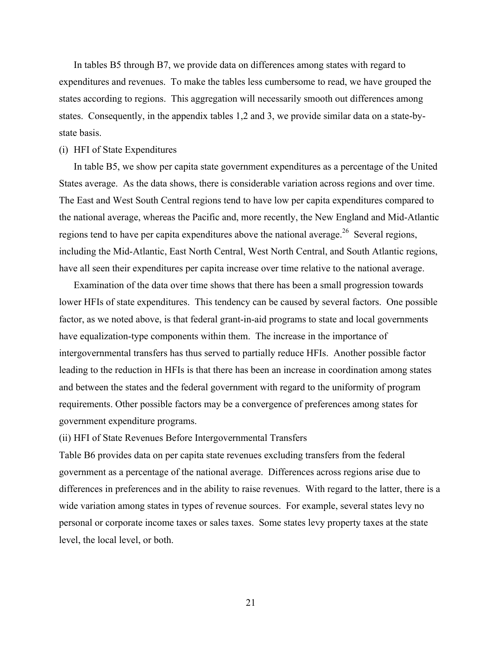In tables B5 through B7, we provide data on differences among states with regard to expenditures and revenues. To make the tables less cumbersome to read, we have grouped the states according to regions. This aggregation will necessarily smooth out differences among states. Consequently, in the appendix tables 1,2 and 3, we provide similar data on a state-bystate basis.

## (i) HFI of State Expenditures

In table B5, we show per capita state government expenditures as a percentage of the United States average. As the data shows, there is considerable variation across regions and over time. The East and West South Central regions tend to have low per capita expenditures compared to the national average, whereas the Pacific and, more recently, the New England and Mid-Atlantic regions tend to have per capita expenditures above the national average.<sup>26</sup> Several regions, including the Mid-Atlantic, East North Central, West North Central, and South Atlantic regions, have all seen their expenditures per capita increase over time relative to the national average.

Examination of the data over time shows that there has been a small progression towards lower HFIs of state expenditures. This tendency can be caused by several factors. One possible factor, as we noted above, is that federal grant-in-aid programs to state and local governments have equalization-type components within them. The increase in the importance of intergovernmental transfers has thus served to partially reduce HFIs. Another possible factor leading to the reduction in HFIs is that there has been an increase in coordination among states and between the states and the federal government with regard to the uniformity of program requirements. Other possible factors may be a convergence of preferences among states for government expenditure programs.

(ii) HFI of State Revenues Before Intergovernmental Transfers

Table B6 provides data on per capita state revenues excluding transfers from the federal government as a percentage of the national average. Differences across regions arise due to differences in preferences and in the ability to raise revenues. With regard to the latter, there is a wide variation among states in types of revenue sources. For example, several states levy no personal or corporate income taxes or sales taxes. Some states levy property taxes at the state level, the local level, or both.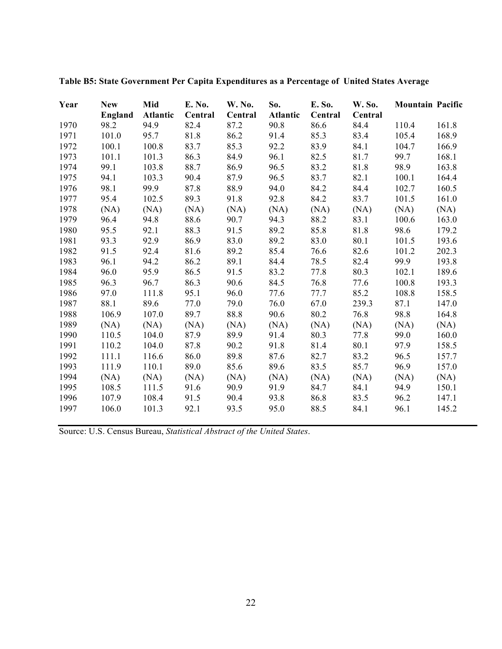| Year | <b>New</b> | Mid             | E. No.  | <b>W. No.</b> | So.             | E. So.  | <b>W. So.</b> | <b>Mountain Pacific</b> |       |
|------|------------|-----------------|---------|---------------|-----------------|---------|---------------|-------------------------|-------|
|      | England    | <b>Atlantic</b> | Central | Central       | <b>Atlantic</b> | Central | Central       |                         |       |
| 1970 | 98.2       | 94.9            | 82.4    | 87.2          | 90.8            | 86.6    | 84.4          | 110.4                   | 161.8 |
| 1971 | 101.0      | 95.7            | 81.8    | 86.2          | 91.4            | 85.3    | 83.4          | 105.4                   | 168.9 |
| 1972 | 100.1      | 100.8           | 83.7    | 85.3          | 92.2            | 83.9    | 84.1          | 104.7                   | 166.9 |
| 1973 | 101.1      | 101.3           | 86.3    | 84.9          | 96.1            | 82.5    | 81.7          | 99.7                    | 168.1 |
| 1974 | 99.1       | 103.8           | 88.7    | 86.9          | 96.5            | 83.2    | 81.8          | 98.9                    | 163.8 |
| 1975 | 94.1       | 103.3           | 90.4    | 87.9          | 96.5            | 83.7    | 82.1          | 100.1                   | 164.4 |
| 1976 | 98.1       | 99.9            | 87.8    | 88.9          | 94.0            | 84.2    | 84.4          | 102.7                   | 160.5 |
| 1977 | 95.4       | 102.5           | 89.3    | 91.8          | 92.8            | 84.2    | 83.7          | 101.5                   | 161.0 |
| 1978 | (NA)       | (NA)            | (NA)    | (NA)          | (NA)            | (NA)    | (NA)          | (NA)                    | (NA)  |
| 1979 | 96.4       | 94.8            | 88.6    | 90.7          | 94.3            | 88.2    | 83.1          | 100.6                   | 163.0 |
| 1980 | 95.5       | 92.1            | 88.3    | 91.5          | 89.2            | 85.8    | 81.8          | 98.6                    | 179.2 |
| 1981 | 93.3       | 92.9            | 86.9    | 83.0          | 89.2            | 83.0    | 80.1          | 101.5                   | 193.6 |
| 1982 | 91.5       | 92.4            | 81.6    | 89.2          | 85.4            | 76.6    | 82.6          | 101.2                   | 202.3 |
| 1983 | 96.1       | 94.2            | 86.2    | 89.1          | 84.4            | 78.5    | 82.4          | 99.9                    | 193.8 |
| 1984 | 96.0       | 95.9            | 86.5    | 91.5          | 83.2            | 77.8    | 80.3          | 102.1                   | 189.6 |
| 1985 | 96.3       | 96.7            | 86.3    | 90.6          | 84.5            | 76.8    | 77.6          | 100.8                   | 193.3 |
| 1986 | 97.0       | 111.8           | 95.1    | 96.0          | 77.6            | 77.7    | 85.2          | 108.8                   | 158.5 |
| 1987 | 88.1       | 89.6            | 77.0    | 79.0          | 76.0            | 67.0    | 239.3         | 87.1                    | 147.0 |
| 1988 | 106.9      | 107.0           | 89.7    | 88.8          | 90.6            | 80.2    | 76.8          | 98.8                    | 164.8 |
| 1989 | (NA)       | (NA)            | (NA)    | (NA)          | (NA)            | (NA)    | (NA)          | (NA)                    | (NA)  |
| 1990 | 110.5      | 104.0           | 87.9    | 89.9          | 91.4            | 80.3    | 77.8          | 99.0                    | 160.0 |
| 1991 | 110.2      | 104.0           | 87.8    | 90.2          | 91.8            | 81.4    | 80.1          | 97.9                    | 158.5 |
| 1992 | 111.1      | 116.6           | 86.0    | 89.8          | 87.6            | 82.7    | 83.2          | 96.5                    | 157.7 |
| 1993 | 111.9      | 110.1           | 89.0    | 85.6          | 89.6            | 83.5    | 85.7          | 96.9                    | 157.0 |
| 1994 | (NA)       | (NA)            | (NA)    | (NA)          | (NA)            | (NA)    | (NA)          | (NA)                    | (NA)  |
| 1995 | 108.5      | 111.5           | 91.6    | 90.9          | 91.9            | 84.7    | 84.1          | 94.9                    | 150.1 |
| 1996 | 107.9      | 108.4           | 91.5    | 90.4          | 93.8            | 86.8    | 83.5          | 96.2                    | 147.1 |
| 1997 | 106.0      | 101.3           | 92.1    | 93.5          | 95.0            | 88.5    | 84.1          | 96.1                    | 145.2 |

**Table B5: State Government Per Capita Expenditures as a Percentage of United States Average**

Source: U.S. Census Bureau, *Statistical Abstract of the United States*.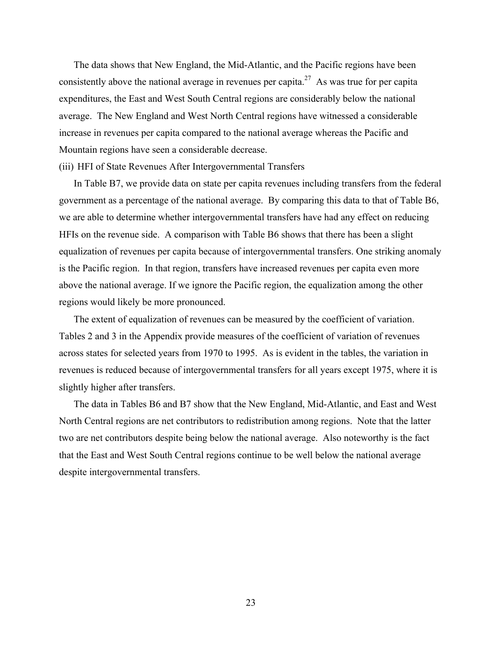The data shows that New England, the Mid-Atlantic, and the Pacific regions have been consistently above the national average in revenues per capita.<sup>27</sup> As was true for per capita expenditures, the East and West South Central regions are considerably below the national average. The New England and West North Central regions have witnessed a considerable increase in revenues per capita compared to the national average whereas the Pacific and Mountain regions have seen a considerable decrease.

### (iii) HFI of State Revenues After Intergovernmental Transfers

In Table B7, we provide data on state per capita revenues including transfers from the federal government as a percentage of the national average. By comparing this data to that of Table B6, we are able to determine whether intergovernmental transfers have had any effect on reducing HFIs on the revenue side. A comparison with Table B6 shows that there has been a slight equalization of revenues per capita because of intergovernmental transfers. One striking anomaly is the Pacific region. In that region, transfers have increased revenues per capita even more above the national average. If we ignore the Pacific region, the equalization among the other regions would likely be more pronounced.

The extent of equalization of revenues can be measured by the coefficient of variation. Tables 2 and 3 in the Appendix provide measures of the coefficient of variation of revenues across states for selected years from 1970 to 1995. As is evident in the tables, the variation in revenues is reduced because of intergovernmental transfers for all years except 1975, where it is slightly higher after transfers.

The data in Tables B6 and B7 show that the New England, Mid-Atlantic, and East and West North Central regions are net contributors to redistribution among regions. Note that the latter two are net contributors despite being below the national average. Also noteworthy is the fact that the East and West South Central regions continue to be well below the national average despite intergovernmental transfers.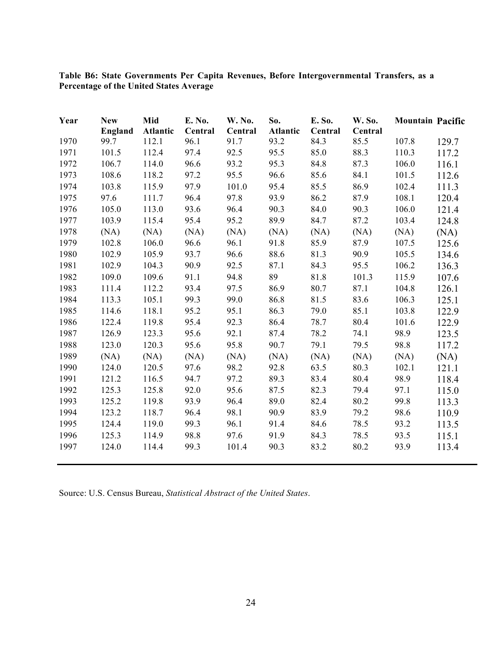|                                         |  |  | Table B6: State Governments Per Capita Revenues, Before Intergovernmental Transfers, as a |  |
|-----------------------------------------|--|--|-------------------------------------------------------------------------------------------|--|
| Percentage of the United States Average |  |  |                                                                                           |  |

| Year | <b>New</b> | Mid             | E. No.  | W. No.  | So.             | E. So.  | W. So.  | <b>Mountain Pacific</b> |       |
|------|------------|-----------------|---------|---------|-----------------|---------|---------|-------------------------|-------|
|      | England    | <b>Atlantic</b> | Central | Central | <b>Atlantic</b> | Central | Central |                         |       |
| 1970 | 99.7       | 112.1           | 96.1    | 91.7    | 93.2            | 84.3    | 85.5    | 107.8                   | 129.7 |
| 1971 | 101.5      | 112.4           | 97.4    | 92.5    | 95.5            | 85.0    | 88.3    | 110.3                   | 117.2 |
| 1972 | 106.7      | 114.0           | 96.6    | 93.2    | 95.3            | 84.8    | 87.3    | 106.0                   | 116.1 |
| 1973 | 108.6      | 118.2           | 97.2    | 95.5    | 96.6            | 85.6    | 84.1    | 101.5                   | 112.6 |
| 1974 | 103.8      | 115.9           | 97.9    | 101.0   | 95.4            | 85.5    | 86.9    | 102.4                   | 111.3 |
| 1975 | 97.6       | 111.7           | 96.4    | 97.8    | 93.9            | 86.2    | 87.9    | 108.1                   | 120.4 |
| 1976 | 105.0      | 113.0           | 93.6    | 96.4    | 90.3            | 84.0    | 90.3    | 106.0                   | 121.4 |
| 1977 | 103.9      | 115.4           | 95.4    | 95.2    | 89.9            | 84.7    | 87.2    | 103.4                   | 124.8 |
| 1978 | (NA)       | (NA)            | (NA)    | (NA)    | (NA)            | (NA)    | (NA)    | (NA)                    | (NA)  |
| 1979 | 102.8      | 106.0           | 96.6    | 96.1    | 91.8            | 85.9    | 87.9    | 107.5                   | 125.6 |
| 1980 | 102.9      | 105.9           | 93.7    | 96.6    | 88.6            | 81.3    | 90.9    | 105.5                   | 134.6 |
| 1981 | 102.9      | 104.3           | 90.9    | 92.5    | 87.1            | 84.3    | 95.5    | 106.2                   | 136.3 |
| 1982 | 109.0      | 109.6           | 91.1    | 94.8    | 89              | 81.8    | 101.3   | 115.9                   | 107.6 |
| 1983 | 111.4      | 112.2           | 93.4    | 97.5    | 86.9            | 80.7    | 87.1    | 104.8                   | 126.1 |
| 1984 | 113.3      | 105.1           | 99.3    | 99.0    | 86.8            | 81.5    | 83.6    | 106.3                   | 125.1 |
| 1985 | 114.6      | 118.1           | 95.2    | 95.1    | 86.3            | 79.0    | 85.1    | 103.8                   | 122.9 |
| 1986 | 122.4      | 119.8           | 95.4    | 92.3    | 86.4            | 78.7    | 80.4    | 101.6                   | 122.9 |
| 1987 | 126.9      | 123.3           | 95.6    | 92.1    | 87.4            | 78.2    | 74.1    | 98.9                    | 123.5 |
| 1988 | 123.0      | 120.3           | 95.6    | 95.8    | 90.7            | 79.1    | 79.5    | 98.8                    | 117.2 |
| 1989 | (NA)       | (NA)            | (NA)    | (NA)    | (NA)            | (NA)    | (NA)    | (NA)                    | (NA)  |
| 1990 | 124.0      | 120.5           | 97.6    | 98.2    | 92.8            | 63.5    | 80.3    | 102.1                   | 121.1 |
| 1991 | 121.2      | 116.5           | 94.7    | 97.2    | 89.3            | 83.4    | 80.4    | 98.9                    | 118.4 |
| 1992 | 125.3      | 125.8           | 92.0    | 95.6    | 87.5            | 82.3    | 79.4    | 97.1                    | 115.0 |
| 1993 | 125.2      | 119.8           | 93.9    | 96.4    | 89.0            | 82.4    | 80.2    | 99.8                    | 113.3 |
| 1994 | 123.2      | 118.7           | 96.4    | 98.1    | 90.9            | 83.9    | 79.2    | 98.6                    | 110.9 |
| 1995 | 124.4      | 119.0           | 99.3    | 96.1    | 91.4            | 84.6    | 78.5    | 93.2                    | 113.5 |
| 1996 | 125.3      | 114.9           | 98.8    | 97.6    | 91.9            | 84.3    | 78.5    | 93.5                    | 115.1 |
| 1997 | 124.0      | 114.4           | 99.3    | 101.4   | 90.3            | 83.2    | 80.2    | 93.9                    | 113.4 |

Source: U.S. Census Bureau, *Statistical Abstract of the United States*.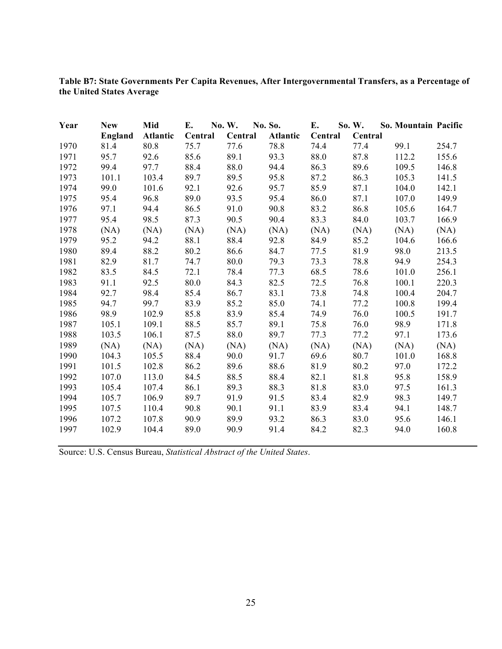**Table B7: State Governments Per Capita Revenues, After Intergovernmental Transfers, as a Percentage of the United States Average**

| Year | <b>New</b> | Mid             | Е.      | No. W.  | No. So.         | E.      | So. W.  | So. Mountain Pacific |       |
|------|------------|-----------------|---------|---------|-----------------|---------|---------|----------------------|-------|
|      | England    | <b>Atlantic</b> | Central | Central | <b>Atlantic</b> | Central | Central |                      |       |
| 1970 | 81.4       | 80.8            | 75.7    | 77.6    | 78.8            | 74.4    | 77.4    | 99.1                 | 254.7 |
| 1971 | 95.7       | 92.6            | 85.6    | 89.1    | 93.3            | 88.0    | 87.8    | 112.2                | 155.6 |
| 1972 | 99.4       | 97.7            | 88.4    | 88.0    | 94.4            | 86.3    | 89.6    | 109.5                | 146.8 |
| 1973 | 101.1      | 103.4           | 89.7    | 89.5    | 95.8            | 87.2    | 86.3    | 105.3                | 141.5 |
| 1974 | 99.0       | 101.6           | 92.1    | 92.6    | 95.7            | 85.9    | 87.1    | 104.0                | 142.1 |
| 1975 | 95.4       | 96.8            | 89.0    | 93.5    | 95.4            | 86.0    | 87.1    | 107.0                | 149.9 |
| 1976 | 97.1       | 94.4            | 86.5    | 91.0    | 90.8            | 83.2    | 86.8    | 105.6                | 164.7 |
| 1977 | 95.4       | 98.5            | 87.3    | 90.5    | 90.4            | 83.3    | 84.0    | 103.7                | 166.9 |
| 1978 | (NA)       | (NA)            | (NA)    | (NA)    | (NA)            | (NA)    | (NA)    | (NA)                 | (NA)  |
| 1979 | 95.2       | 94.2            | 88.1    | 88.4    | 92.8            | 84.9    | 85.2    | 104.6                | 166.6 |
| 1980 | 89.4       | 88.2            | 80.2    | 86.6    | 84.7            | 77.5    | 81.9    | 98.0                 | 213.5 |
| 1981 | 82.9       | 81.7            | 74.7    | 80.0    | 79.3            | 73.3    | 78.8    | 94.9                 | 254.3 |
| 1982 | 83.5       | 84.5            | 72.1    | 78.4    | 77.3            | 68.5    | 78.6    | 101.0                | 256.1 |
| 1983 | 91.1       | 92.5            | 80.0    | 84.3    | 82.5            | 72.5    | 76.8    | 100.1                | 220.3 |
| 1984 | 92.7       | 98.4            | 85.4    | 86.7    | 83.1            | 73.8    | 74.8    | 100.4                | 204.7 |
| 1985 | 94.7       | 99.7            | 83.9    | 85.2    | 85.0            | 74.1    | 77.2    | 100.8                | 199.4 |
| 1986 | 98.9       | 102.9           | 85.8    | 83.9    | 85.4            | 74.9    | 76.0    | 100.5                | 191.7 |
| 1987 | 105.1      | 109.1           | 88.5    | 85.7    | 89.1            | 75.8    | 76.0    | 98.9                 | 171.8 |
| 1988 | 103.5      | 106.1           | 87.5    | 88.0    | 89.7            | 77.3    | 77.2    | 97.1                 | 173.6 |
| 1989 | (NA)       | (NA)            | (NA)    | (NA)    | (NA)            | (NA)    | (NA)    | (NA)                 | (NA)  |
| 1990 | 104.3      | 105.5           | 88.4    | 90.0    | 91.7            | 69.6    | 80.7    | 101.0                | 168.8 |
| 1991 | 101.5      | 102.8           | 86.2    | 89.6    | 88.6            | 81.9    | 80.2    | 97.0                 | 172.2 |
| 1992 | 107.0      | 113.0           | 84.5    | 88.5    | 88.4            | 82.1    | 81.8    | 95.8                 | 158.9 |
| 1993 | 105.4      | 107.4           | 86.1    | 89.3    | 88.3            | 81.8    | 83.0    | 97.5                 | 161.3 |
| 1994 | 105.7      | 106.9           | 89.7    | 91.9    | 91.5            | 83.4    | 82.9    | 98.3                 | 149.7 |
| 1995 | 107.5      | 110.4           | 90.8    | 90.1    | 91.1            | 83.9    | 83.4    | 94.1                 | 148.7 |
| 1996 | 107.2      | 107.8           | 90.9    | 89.9    | 93.2            | 86.3    | 83.0    | 95.6                 | 146.1 |
| 1997 | 102.9      | 104.4           | 89.0    | 90.9    | 91.4            | 84.2    | 82.3    | 94.0                 | 160.8 |

Source: U.S. Census Bureau, *Statistical Abstract of the United States*.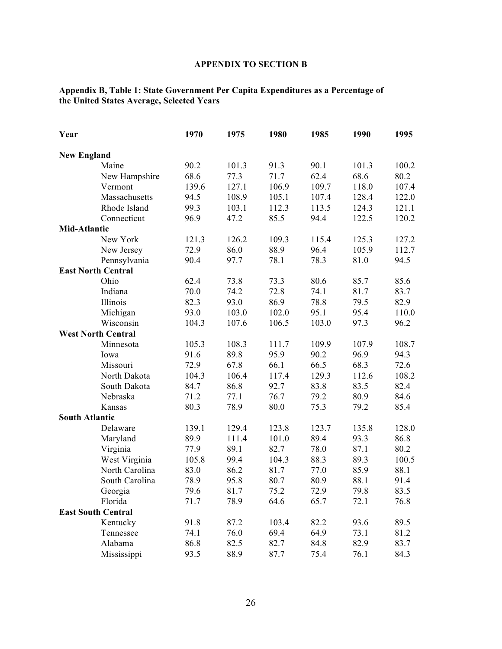## **APPENDIX TO SECTION B**

### **Appendix B, Table 1: State Government Per Capita Expenditures as a Percentage of the United States Average, Selected Years**

| Year                  |                           | 1970  | 1975  | 1980  | 1985  | 1990  | 1995  |
|-----------------------|---------------------------|-------|-------|-------|-------|-------|-------|
| <b>New England</b>    |                           |       |       |       |       |       |       |
|                       | Maine                     | 90.2  | 101.3 | 91.3  | 90.1  | 101.3 | 100.2 |
|                       | New Hampshire             | 68.6  | 77.3  | 71.7  | 62.4  | 68.6  | 80.2  |
|                       | Vermont                   | 139.6 | 127.1 | 106.9 | 109.7 | 118.0 | 107.4 |
|                       | Massachusetts             | 94.5  | 108.9 | 105.1 | 107.4 | 128.4 | 122.0 |
|                       | Rhode Island              | 99.3  | 103.1 | 112.3 | 113.5 | 124.3 | 121.1 |
|                       | Connecticut               | 96.9  | 47.2  | 85.5  | 94.4  | 122.5 | 120.2 |
| Mid-Atlantic          |                           |       |       |       |       |       |       |
|                       | New York                  | 121.3 | 126.2 | 109.3 | 115.4 | 125.3 | 127.2 |
|                       | New Jersey                | 72.9  | 86.0  | 88.9  | 96.4  | 105.9 | 112.7 |
|                       | Pennsylvania              | 90.4  | 97.7  | 78.1  | 78.3  | 81.0  | 94.5  |
|                       | <b>East North Central</b> |       |       |       |       |       |       |
|                       | Ohio                      | 62.4  | 73.8  | 73.3  | 80.6  | 85.7  | 85.6  |
|                       | Indiana                   | 70.0  | 74.2  | 72.8  | 74.1  | 81.7  | 83.7  |
|                       | Illinois                  | 82.3  | 93.0  | 86.9  | 78.8  | 79.5  | 82.9  |
|                       | Michigan                  | 93.0  | 103.0 | 102.0 | 95.1  | 95.4  | 110.0 |
|                       | Wisconsin                 | 104.3 | 107.6 | 106.5 | 103.0 | 97.3  | 96.2  |
|                       | <b>West North Central</b> |       |       |       |       |       |       |
|                       | Minnesota                 | 105.3 | 108.3 | 111.7 | 109.9 | 107.9 | 108.7 |
|                       | Iowa                      | 91.6  | 89.8  | 95.9  | 90.2  | 96.9  | 94.3  |
|                       | Missouri                  | 72.9  | 67.8  | 66.1  | 66.5  | 68.3  | 72.6  |
|                       | North Dakota              | 104.3 | 106.4 | 117.4 | 129.3 | 112.6 | 108.2 |
|                       | South Dakota              | 84.7  | 86.8  | 92.7  | 83.8  | 83.5  | 82.4  |
|                       | Nebraska                  | 71.2  | 77.1  | 76.7  | 79.2  | 80.9  | 84.6  |
|                       | Kansas                    | 80.3  | 78.9  | 80.0  | 75.3  | 79.2  | 85.4  |
| <b>South Atlantic</b> |                           |       |       |       |       |       |       |
|                       | Delaware                  | 139.1 | 129.4 | 123.8 | 123.7 | 135.8 | 128.0 |
|                       | Maryland                  | 89.9  | 111.4 | 101.0 | 89.4  | 93.3  | 86.8  |
|                       | Virginia                  | 77.9  | 89.1  | 82.7  | 78.0  | 87.1  | 80.2  |
|                       | West Virginia             | 105.8 | 99.4  | 104.3 | 88.3  | 89.3  | 100.5 |
|                       | North Carolina            | 83.0  | 86.2  | 81.7  | 77.0  | 85.9  | 88.1  |
|                       | South Carolina            | 78.9  | 95.8  | 80.7  | 80.9  | 88.1  | 91.4  |
|                       | Georgia                   | 79.6  | 81.7  | 75.2  | 72.9  | 79.8  | 83.5  |
|                       | Florida                   | 71.7  | 78.9  | 64.6  | 65.7  | 72.1  | 76.8  |
|                       | <b>East South Central</b> |       |       |       |       |       |       |
|                       | Kentucky                  | 91.8  | 87.2  | 103.4 | 82.2  | 93.6  | 89.5  |
|                       | Tennessee                 | 74.1  | 76.0  | 69.4  | 64.9  | 73.1  | 81.2  |
|                       | Alabama                   | 86.8  | 82.5  | 82.7  | 84.8  | 82.9  | 83.7  |
|                       | Mississippi               | 93.5  | 88.9  | 87.7  | 75.4  | 76.1  | 84.3  |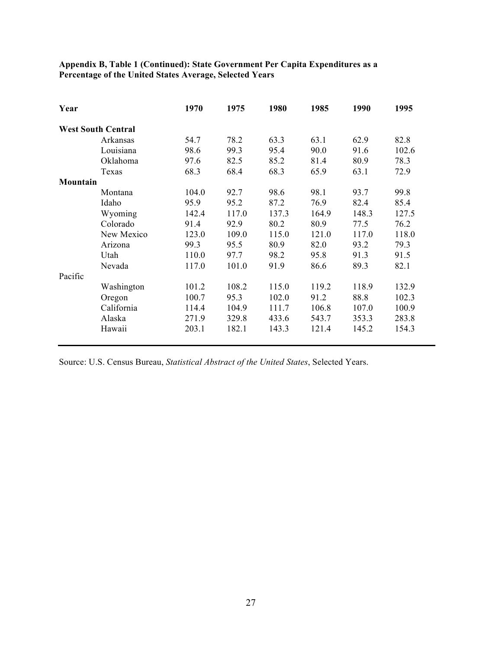## **Appendix B, Table 1 (Continued): State Government Per Capita Expenditures as a Percentage of the United States Average, Selected Years**

| Year     |                           | 1970  | 1975  | 1980  | 1985  | 1990  | 1995  |
|----------|---------------------------|-------|-------|-------|-------|-------|-------|
|          | <b>West South Central</b> |       |       |       |       |       |       |
|          | Arkansas                  | 54.7  | 78.2  | 63.3  | 63.1  | 62.9  | 82.8  |
|          | Louisiana                 | 98.6  | 99.3  | 95.4  | 90.0  | 91.6  | 102.6 |
|          | Oklahoma                  | 97.6  | 82.5  | 85.2  | 81.4  | 80.9  | 78.3  |
|          | Texas                     | 68.3  | 68.4  | 68.3  | 65.9  | 63.1  | 72.9  |
| Mountain |                           |       |       |       |       |       |       |
|          | Montana                   | 104.0 | 92.7  | 98.6  | 98.1  | 93.7  | 99.8  |
|          | Idaho                     | 95.9  | 95.2  | 87.2  | 76.9  | 82.4  | 85.4  |
|          | Wyoming                   | 142.4 | 117.0 | 137.3 | 164.9 | 148.3 | 127.5 |
|          | Colorado                  | 91.4  | 92.9  | 80.2  | 80.9  | 77.5  | 76.2  |
|          | New Mexico                | 123.0 | 109.0 | 115.0 | 121.0 | 117.0 | 118.0 |
|          | Arizona                   | 99.3  | 95.5  | 80.9  | 82.0  | 93.2  | 79.3  |
|          | Utah                      | 110.0 | 97.7  | 98.2  | 95.8  | 91.3  | 91.5  |
|          | Nevada                    | 117.0 | 101.0 | 91.9  | 86.6  | 89.3  | 82.1  |
| Pacific  |                           |       |       |       |       |       |       |
|          | Washington                | 101.2 | 108.2 | 115.0 | 119.2 | 118.9 | 132.9 |
|          | Oregon                    | 100.7 | 95.3  | 102.0 | 91.2  | 88.8  | 102.3 |
|          | California                | 114.4 | 104.9 | 111.7 | 106.8 | 107.0 | 100.9 |
|          | Alaska                    | 271.9 | 329.8 | 433.6 | 543.7 | 353.3 | 283.8 |
|          | Hawaii                    | 203.1 | 182.1 | 143.3 | 121.4 | 145.2 | 154.3 |
|          |                           |       |       |       |       |       |       |

Source: U.S. Census Bureau, *Statistical Abstract of the United States*, Selected Years.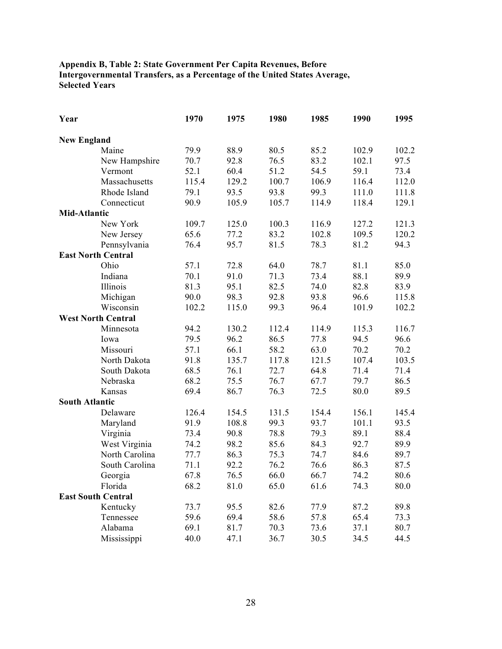## **Appendix B, Table 2: State Government Per Capita Revenues, Before Intergovernmental Transfers, as a Percentage of the United States Average, Selected Years**

| Year                  |                           | 1970  | 1975  | 1980  | 1985  | 1990  | 1995  |
|-----------------------|---------------------------|-------|-------|-------|-------|-------|-------|
| <b>New England</b>    |                           |       |       |       |       |       |       |
|                       | Maine                     | 79.9  | 88.9  | 80.5  | 85.2  | 102.9 | 102.2 |
|                       | New Hampshire             | 70.7  | 92.8  | 76.5  | 83.2  | 102.1 | 97.5  |
|                       | Vermont                   | 52.1  | 60.4  | 51.2  | 54.5  | 59.1  | 73.4  |
|                       | Massachusetts             | 115.4 | 129.2 | 100.7 | 106.9 | 116.4 | 112.0 |
|                       | Rhode Island              | 79.1  | 93.5  | 93.8  | 99.3  | 111.0 | 111.8 |
|                       | Connecticut               | 90.9  | 105.9 | 105.7 | 114.9 | 118.4 | 129.1 |
| <b>Mid-Atlantic</b>   |                           |       |       |       |       |       |       |
|                       | New York                  | 109.7 | 125.0 | 100.3 | 116.9 | 127.2 | 121.3 |
|                       | New Jersey                | 65.6  | 77.2  | 83.2  | 102.8 | 109.5 | 120.2 |
|                       | Pennsylvania              | 76.4  | 95.7  | 81.5  | 78.3  | 81.2  | 94.3  |
|                       | <b>East North Central</b> |       |       |       |       |       |       |
|                       | Ohio                      | 57.1  | 72.8  | 64.0  | 78.7  | 81.1  | 85.0  |
|                       | Indiana                   | 70.1  | 91.0  | 71.3  | 73.4  | 88.1  | 89.9  |
|                       | Illinois                  | 81.3  | 95.1  | 82.5  | 74.0  | 82.8  | 83.9  |
|                       | Michigan                  | 90.0  | 98.3  | 92.8  | 93.8  | 96.6  | 115.8 |
|                       | Wisconsin                 | 102.2 | 115.0 | 99.3  | 96.4  | 101.9 | 102.2 |
|                       | <b>West North Central</b> |       |       |       |       |       |       |
|                       | Minnesota                 | 94.2  | 130.2 | 112.4 | 114.9 | 115.3 | 116.7 |
|                       | Iowa                      | 79.5  | 96.2  | 86.5  | 77.8  | 94.5  | 96.6  |
|                       | Missouri                  | 57.1  | 66.1  | 58.2  | 63.0  | 70.2  | 70.2  |
|                       | North Dakota              | 91.8  | 135.7 | 117.8 | 121.5 | 107.4 | 103.5 |
|                       | South Dakota              | 68.5  | 76.1  | 72.7  | 64.8  | 71.4  | 71.4  |
|                       | Nebraska                  | 68.2  | 75.5  | 76.7  | 67.7  | 79.7  | 86.5  |
|                       | Kansas                    | 69.4  | 86.7  | 76.3  | 72.5  | 80.0  | 89.5  |
| <b>South Atlantic</b> |                           |       |       |       |       |       |       |
|                       | Delaware                  | 126.4 | 154.5 | 131.5 | 154.4 | 156.1 | 145.4 |
|                       | Maryland                  | 91.9  | 108.8 | 99.3  | 93.7  | 101.1 | 93.5  |
|                       | Virginia                  | 73.4  | 90.8  | 78.8  | 79.3  | 89.1  | 88.4  |
|                       | West Virginia             | 74.2  | 98.2  | 85.6  | 84.3  | 92.7  | 89.9  |
|                       | North Carolina            | 77.7  | 86.3  | 75.3  | 74.7  | 84.6  | 89.7  |
|                       | South Carolina            | 71.1  | 92.2  | 76.2  | 76.6  | 86.3  | 87.5  |
|                       | Georgia                   | 67.8  | 76.5  | 66.0  | 66.7  | 74.2  | 80.6  |
|                       | Florida                   | 68.2  | 81.0  | 65.0  | 61.6  | 74.3  | 80.0  |
|                       | <b>East South Central</b> |       |       |       |       |       |       |
|                       | Kentucky                  | 73.7  | 95.5  | 82.6  | 77.9  | 87.2  | 89.8  |
|                       | Tennessee                 | 59.6  | 69.4  | 58.6  | 57.8  | 65.4  | 73.3  |
|                       | Alabama                   | 69.1  | 81.7  | 70.3  | 73.6  | 37.1  | 80.7  |
|                       | Mississippi               | 40.0  | 47.1  | 36.7  | 30.5  | 34.5  | 44.5  |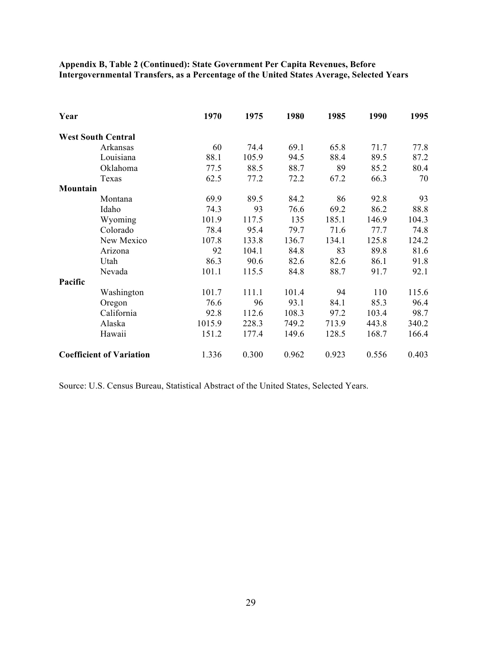**Appendix B, Table 2 (Continued): State Government Per Capita Revenues, Before Intergovernmental Transfers, as a Percentage of the United States Average, Selected Years**

| Year                            |            | 1970   | 1975  | 1980  | 1985  | 1990  | 1995  |
|---------------------------------|------------|--------|-------|-------|-------|-------|-------|
| <b>West South Central</b>       |            |        |       |       |       |       |       |
|                                 | Arkansas   | 60     | 74.4  | 69.1  | 65.8  | 71.7  | 77.8  |
|                                 | Louisiana  | 88.1   | 105.9 | 94.5  | 88.4  | 89.5  | 87.2  |
|                                 | Oklahoma   | 77.5   | 88.5  | 88.7  | 89    | 85.2  | 80.4  |
|                                 | Texas      | 62.5   | 77.2  | 72.2  | 67.2  | 66.3  | 70    |
| Mountain                        |            |        |       |       |       |       |       |
|                                 | Montana    | 69.9   | 89.5  | 84.2  | 86    | 92.8  | 93    |
|                                 | Idaho      | 74.3   | 93    | 76.6  | 69.2  | 86.2  | 88.8  |
|                                 | Wyoming    | 101.9  | 117.5 | 135   | 185.1 | 146.9 | 104.3 |
|                                 | Colorado   | 78.4   | 95.4  | 79.7  | 71.6  | 77.7  | 74.8  |
|                                 | New Mexico | 107.8  | 133.8 | 136.7 | 134.1 | 125.8 | 124.2 |
|                                 | Arizona    | 92     | 104.1 | 84.8  | 83    | 89.8  | 81.6  |
|                                 | Utah       | 86.3   | 90.6  | 82.6  | 82.6  | 86.1  | 91.8  |
|                                 | Nevada     | 101.1  | 115.5 | 84.8  | 88.7  | 91.7  | 92.1  |
| Pacific                         |            |        |       |       |       |       |       |
|                                 | Washington | 101.7  | 111.1 | 101.4 | 94    | 110   | 115.6 |
|                                 | Oregon     | 76.6   | 96    | 93.1  | 84.1  | 85.3  | 96.4  |
|                                 | California | 92.8   | 112.6 | 108.3 | 97.2  | 103.4 | 98.7  |
|                                 | Alaska     | 1015.9 | 228.3 | 749.2 | 713.9 | 443.8 | 340.2 |
|                                 | Hawaii     | 151.2  | 177.4 | 149.6 | 128.5 | 168.7 | 166.4 |
| <b>Coefficient of Variation</b> |            | 1.336  | 0.300 | 0.962 | 0.923 | 0.556 | 0.403 |

Source: U.S. Census Bureau, Statistical Abstract of the United States, Selected Years.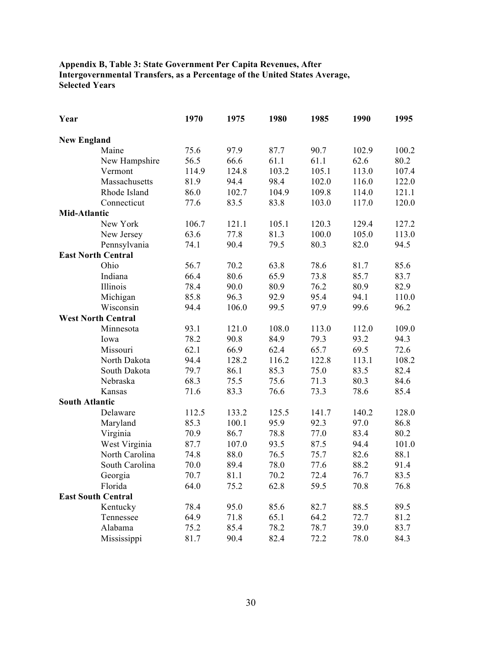## **Appendix B, Table 3: State Government Per Capita Revenues, After Intergovernmental Transfers, as a Percentage of the United States Average, Selected Years**

| Year                  |                           | 1970  | 1975  | 1980  | 1985  | 1990  | 1995  |
|-----------------------|---------------------------|-------|-------|-------|-------|-------|-------|
| <b>New England</b>    |                           |       |       |       |       |       |       |
|                       | Maine                     | 75.6  | 97.9  | 87.7  | 90.7  | 102.9 | 100.2 |
|                       | New Hampshire             | 56.5  | 66.6  | 61.1  | 61.1  | 62.6  | 80.2  |
|                       | Vermont                   | 114.9 | 124.8 | 103.2 | 105.1 | 113.0 | 107.4 |
|                       | Massachusetts             | 81.9  | 94.4  | 98.4  | 102.0 | 116.0 | 122.0 |
|                       | Rhode Island              | 86.0  | 102.7 | 104.9 | 109.8 | 114.0 | 121.1 |
|                       | Connecticut               | 77.6  | 83.5  | 83.8  | 103.0 | 117.0 | 120.0 |
| <b>Mid-Atlantic</b>   |                           |       |       |       |       |       |       |
|                       | New York                  | 106.7 | 121.1 | 105.1 | 120.3 | 129.4 | 127.2 |
|                       | New Jersey                | 63.6  | 77.8  | 81.3  | 100.0 | 105.0 | 113.0 |
|                       | Pennsylvania              | 74.1  | 90.4  | 79.5  | 80.3  | 82.0  | 94.5  |
|                       | <b>East North Central</b> |       |       |       |       |       |       |
|                       | Ohio                      | 56.7  | 70.2  | 63.8  | 78.6  | 81.7  | 85.6  |
|                       | Indiana                   | 66.4  | 80.6  | 65.9  | 73.8  | 85.7  | 83.7  |
|                       | Illinois                  | 78.4  | 90.0  | 80.9  | 76.2  | 80.9  | 82.9  |
|                       | Michigan                  | 85.8  | 96.3  | 92.9  | 95.4  | 94.1  | 110.0 |
|                       | Wisconsin                 | 94.4  | 106.0 | 99.5  | 97.9  | 99.6  | 96.2  |
|                       | <b>West North Central</b> |       |       |       |       |       |       |
|                       | Minnesota                 | 93.1  | 121.0 | 108.0 | 113.0 | 112.0 | 109.0 |
|                       | Iowa                      | 78.2  | 90.8  | 84.9  | 79.3  | 93.2  | 94.3  |
|                       | Missouri                  | 62.1  | 66.9  | 62.4  | 65.7  | 69.5  | 72.6  |
|                       | North Dakota              | 94.4  | 128.2 | 116.2 | 122.8 | 113.1 | 108.2 |
|                       | South Dakota              | 79.7  | 86.1  | 85.3  | 75.0  | 83.5  | 82.4  |
|                       | Nebraska                  | 68.3  | 75.5  | 75.6  | 71.3  | 80.3  | 84.6  |
|                       | Kansas                    | 71.6  | 83.3  | 76.6  | 73.3  | 78.6  | 85.4  |
| <b>South Atlantic</b> |                           |       |       |       |       |       |       |
|                       | Delaware                  | 112.5 | 133.2 | 125.5 | 141.7 | 140.2 | 128.0 |
|                       | Maryland                  | 85.3  | 100.1 | 95.9  | 92.3  | 97.0  | 86.8  |
|                       | Virginia                  | 70.9  | 86.7  | 78.8  | 77.0  | 83.4  | 80.2  |
|                       | West Virginia             | 87.7  | 107.0 | 93.5  | 87.5  | 94.4  | 101.0 |
|                       | North Carolina            | 74.8  | 88.0  | 76.5  | 75.7  | 82.6  | 88.1  |
|                       | South Carolina            | 70.0  | 89.4  | 78.0  | 77.6  | 88.2  | 91.4  |
|                       | Georgia                   | 70.7  | 81.1  | 70.2  | 72.4  | 76.7  | 83.5  |
|                       | Florida                   | 64.0  | 75.2  | 62.8  | 59.5  | 70.8  | 76.8  |
|                       | <b>East South Central</b> |       |       |       |       |       |       |
|                       | Kentucky                  | 78.4  | 95.0  | 85.6  | 82.7  | 88.5  | 89.5  |
|                       | Tennessee                 | 64.9  | 71.8  | 65.1  | 64.2  | 72.7  | 81.2  |
|                       | Alabama                   | 75.2  | 85.4  | 78.2  | 78.7  | 39.0  | 83.7  |
|                       | Mississippi               | 81.7  | 90.4  | 82.4  | 72.2  | 78.0  | 84.3  |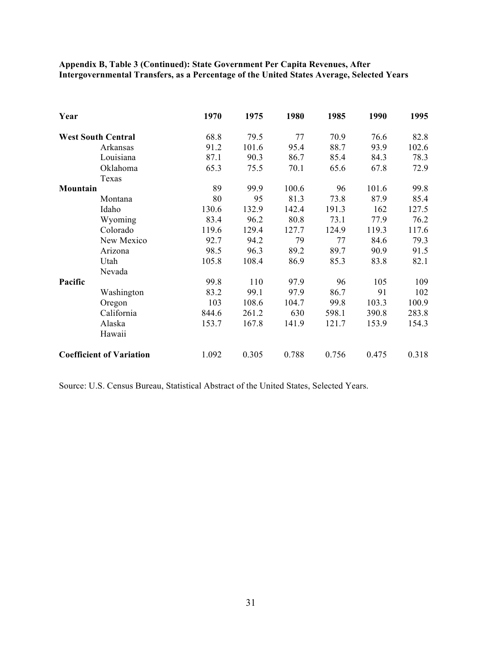## **Appendix B, Table 3 (Continued): State Government Per Capita Revenues, After Intergovernmental Transfers, as a Percentage of the United States Average, Selected Years**

| Year     |                                 | 1970  | 1975  | 1980  | 1985  | 1990  | 1995  |
|----------|---------------------------------|-------|-------|-------|-------|-------|-------|
|          | <b>West South Central</b>       | 68.8  | 79.5  | 77    | 70.9  | 76.6  | 82.8  |
|          | Arkansas                        | 91.2  | 101.6 | 95.4  | 88.7  | 93.9  | 102.6 |
|          | Louisiana                       | 87.1  | 90.3  | 86.7  | 85.4  | 84.3  | 78.3  |
|          | Oklahoma                        | 65.3  | 75.5  | 70.1  | 65.6  | 67.8  | 72.9  |
|          | Texas                           |       |       |       |       |       |       |
| Mountain |                                 | 89    | 99.9  | 100.6 | 96    | 101.6 | 99.8  |
|          | Montana                         | 80    | 95    | 81.3  | 73.8  | 87.9  | 85.4  |
|          | Idaho                           | 130.6 | 132.9 | 142.4 | 191.3 | 162   | 127.5 |
|          | Wyoming                         | 83.4  | 96.2  | 80.8  | 73.1  | 77.9  | 76.2  |
|          | Colorado                        | 119.6 | 129.4 | 127.7 | 124.9 | 119.3 | 117.6 |
|          | New Mexico                      | 92.7  | 94.2  | 79    | 77    | 84.6  | 79.3  |
|          | Arizona                         | 98.5  | 96.3  | 89.2  | 89.7  | 90.9  | 91.5  |
|          | Utah                            | 105.8 | 108.4 | 86.9  | 85.3  | 83.8  | 82.1  |
|          | Nevada                          |       |       |       |       |       |       |
| Pacific  |                                 | 99.8  | 110   | 97.9  | 96    | 105   | 109   |
|          | Washington                      | 83.2  | 99.1  | 97.9  | 86.7  | 91    | 102   |
|          | Oregon                          | 103   | 108.6 | 104.7 | 99.8  | 103.3 | 100.9 |
|          | California                      | 844.6 | 261.2 | 630   | 598.1 | 390.8 | 283.8 |
|          | Alaska                          | 153.7 | 167.8 | 141.9 | 121.7 | 153.9 | 154.3 |
|          | Hawaii                          |       |       |       |       |       |       |
|          | <b>Coefficient of Variation</b> | 1.092 | 0.305 | 0.788 | 0.756 | 0.475 | 0.318 |

Source: U.S. Census Bureau, Statistical Abstract of the United States, Selected Years.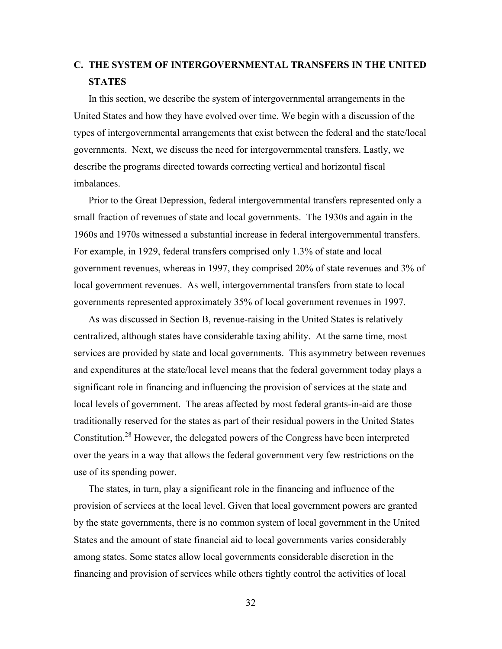# **C. THE SYSTEM OF INTERGOVERNMENTAL TRANSFERS IN THE UNITED STATES**

In this section, we describe the system of intergovernmental arrangements in the United States and how they have evolved over time. We begin with a discussion of the types of intergovernmental arrangements that exist between the federal and the state/local governments. Next, we discuss the need for intergovernmental transfers. Lastly, we describe the programs directed towards correcting vertical and horizontal fiscal imbalances.

Prior to the Great Depression, federal intergovernmental transfers represented only a small fraction of revenues of state and local governments. The 1930s and again in the 1960s and 1970s witnessed a substantial increase in federal intergovernmental transfers. For example, in 1929, federal transfers comprised only 1.3% of state and local government revenues, whereas in 1997, they comprised 20% of state revenues and 3% of local government revenues. As well, intergovernmental transfers from state to local governments represented approximately 35% of local government revenues in 1997.

As was discussed in Section B, revenue-raising in the United States is relatively centralized, although states have considerable taxing ability. At the same time, most services are provided by state and local governments. This asymmetry between revenues and expenditures at the state/local level means that the federal government today plays a significant role in financing and influencing the provision of services at the state and local levels of government. The areas affected by most federal grants-in-aid are those traditionally reserved for the states as part of their residual powers in the United States Constitution.<sup>28</sup> However, the delegated powers of the Congress have been interpreted over the years in a way that allows the federal government very few restrictions on the use of its spending power.

The states, in turn, play a significant role in the financing and influence of the provision of services at the local level. Given that local government powers are granted by the state governments, there is no common system of local government in the United States and the amount of state financial aid to local governments varies considerably among states. Some states allow local governments considerable discretion in the financing and provision of services while others tightly control the activities of local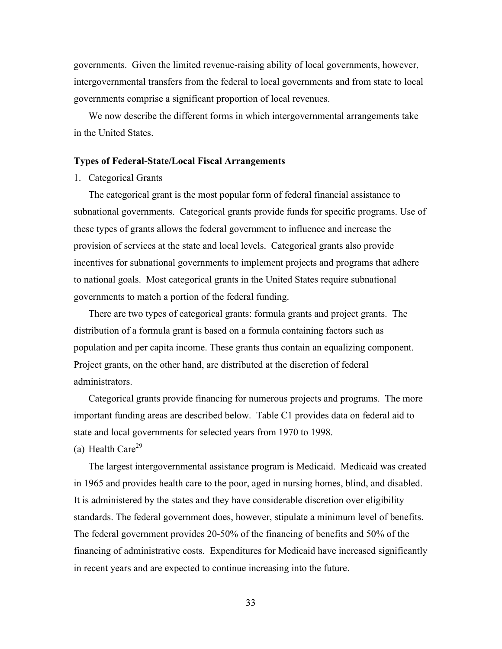governments. Given the limited revenue-raising ability of local governments, however, intergovernmental transfers from the federal to local governments and from state to local governments comprise a significant proportion of local revenues.

We now describe the different forms in which intergovernmental arrangements take in the United States.

### **Types of Federal-State/Local Fiscal Arrangements**

### 1. Categorical Grants

The categorical grant is the most popular form of federal financial assistance to subnational governments. Categorical grants provide funds for specific programs. Use of these types of grants allows the federal government to influence and increase the provision of services at the state and local levels. Categorical grants also provide incentives for subnational governments to implement projects and programs that adhere to national goals. Most categorical grants in the United States require subnational governments to match a portion of the federal funding.

There are two types of categorical grants: formula grants and project grants. The distribution of a formula grant is based on a formula containing factors such as population and per capita income. These grants thus contain an equalizing component. Project grants, on the other hand, are distributed at the discretion of federal administrators.

Categorical grants provide financing for numerous projects and programs. The more important funding areas are described below. Table C1 provides data on federal aid to state and local governments for selected years from 1970 to 1998.

(a) Health Care<sup>29</sup>

The largest intergovernmental assistance program is Medicaid. Medicaid was created in 1965 and provides health care to the poor, aged in nursing homes, blind, and disabled. It is administered by the states and they have considerable discretion over eligibility standards. The federal government does, however, stipulate a minimum level of benefits. The federal government provides 20-50% of the financing of benefits and 50% of the financing of administrative costs. Expenditures for Medicaid have increased significantly in recent years and are expected to continue increasing into the future.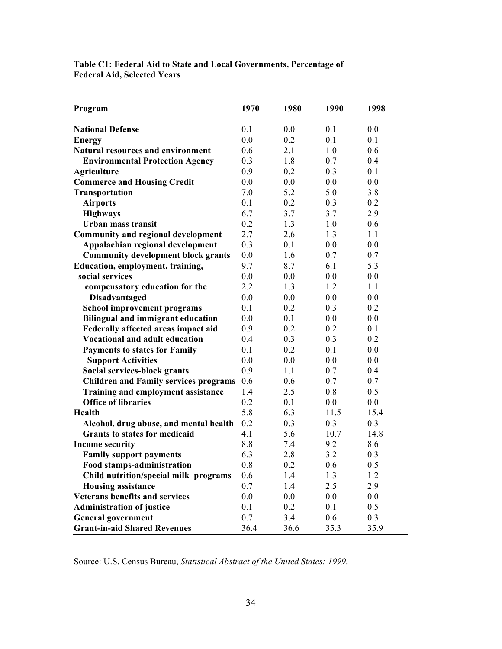| Table C1: Federal Aid to State and Local Governments, Percentage of |  |
|---------------------------------------------------------------------|--|
| <b>Federal Aid, Selected Years</b>                                  |  |

| Program                                      | 1970 | 1980 | 1990 | 1998 |
|----------------------------------------------|------|------|------|------|
| <b>National Defense</b>                      | 0.1  | 0.0  | 0.1  | 0.0  |
| <b>Energy</b>                                | 0.0  | 0.2  | 0.1  | 0.1  |
| <b>Natural resources and environment</b>     | 0.6  | 2.1  | 1.0  | 0.6  |
| <b>Environmental Protection Agency</b>       | 0.3  | 1.8  | 0.7  | 0.4  |
| <b>Agriculture</b>                           | 0.9  | 0.2  | 0.3  | 0.1  |
| <b>Commerce and Housing Credit</b>           | 0.0  | 0.0  | 0.0  | 0.0  |
| Transportation                               | 7.0  | 5.2  | 5.0  | 3.8  |
| <b>Airports</b>                              | 0.1  | 0.2  | 0.3  | 0.2  |
| <b>Highways</b>                              | 6.7  | 3.7  | 3.7  | 2.9  |
| Urban mass transit                           | 0.2  | 1.3  | 1.0  | 0.6  |
| <b>Community and regional development</b>    | 2.7  | 2.6  | 1.3  | 1.1  |
| Appalachian regional development             | 0.3  | 0.1  | 0.0  | 0.0  |
| <b>Community development block grants</b>    | 0.0  | 1.6  | 0.7  | 0.7  |
| Education, employment, training,             | 9.7  | 8.7  | 6.1  | 5.3  |
| social services                              | 0.0  | 0.0  | 0.0  | 0.0  |
| compensatory education for the               | 2.2  | 1.3  | 1.2  | 1.1  |
| Disadvantaged                                | 0.0  | 0.0  | 0.0  | 0.0  |
| <b>School improvement programs</b>           | 0.1  | 0.2  | 0.3  | 0.2  |
| <b>Bilingual and immigrant education</b>     | 0.0  | 0.1  | 0.0  | 0.0  |
| Federally affected areas impact aid          | 0.9  | 0.2  | 0.2  | 0.1  |
| <b>Vocational and adult education</b>        | 0.4  | 0.3  | 0.3  | 0.2  |
| <b>Payments to states for Family</b>         | 0.1  | 0.2  | 0.1  | 0.0  |
| <b>Support Activities</b>                    | 0.0  | 0.0  | 0.0  | 0.0  |
| Social services-block grants                 | 0.9  | 1.1  | 0.7  | 0.4  |
| <b>Children and Family services programs</b> | 0.6  | 0.6  | 0.7  | 0.7  |
| <b>Training and employment assistance</b>    | 1.4  | 2.5  | 0.8  | 0.5  |
| <b>Office of libraries</b>                   | 0.2  | 0.1  | 0.0  | 0.0  |
| Health                                       | 5.8  | 6.3  | 11.5 | 15.4 |
| Alcohol, drug abuse, and mental health       | 0.2  | 0.3  | 0.3  | 0.3  |
| <b>Grants to states for medicaid</b>         | 4.1  | 5.6  | 10.7 | 14.8 |
| <b>Income security</b>                       | 8.8  | 7.4  | 9.2  | 8.6  |
| <b>Family support payments</b>               | 6.3  | 2.8  | 3.2  | 0.3  |
| <b>Food stamps-administration</b>            | 0.8  | 0.2  | 0.6  | 0.5  |
| Child nutrition/special milk programs        | 0.6  | 1.4  | 1.3  | 1.2  |
| <b>Housing assistance</b>                    | 0.7  | 1.4  | 2.5  | 2.9  |
| <b>Veterans benefits and services</b>        | 0.0  | 0.0  | 0.0  | 0.0  |
| <b>Administration of justice</b>             | 0.1  | 0.2  | 0.1  | 0.5  |
| <b>General government</b>                    | 0.7  | 3.4  | 0.6  | 0.3  |
| <b>Grant-in-aid Shared Revenues</b>          | 36.4 | 36.6 | 35.3 | 35.9 |

Source: U.S. Census Bureau, *Statistical Abstract of the United States: 1999.*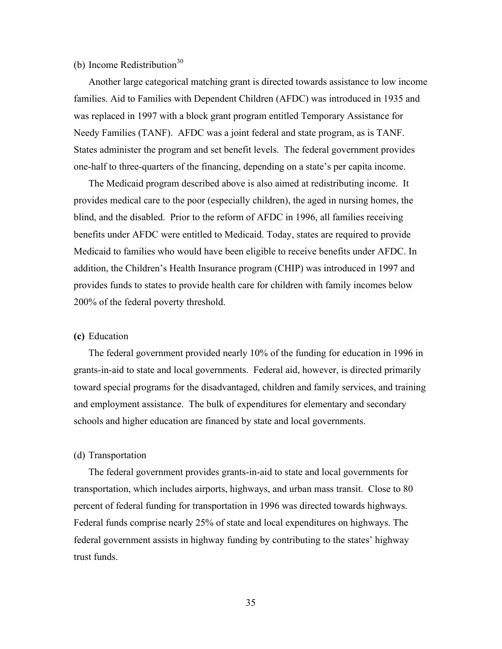## (b) Income Redistribution $30$

Another large categorical matching grant is directed towards assistance to low income families. Aid to Families with Dependent Children (AFDC) was introduced in 1935 and was replaced in 1997 with a block grant program entitled Temporary Assistance for Needy Families (TANF). AFDC was a joint federal and state program, as is TANF. States administer the program and set benefit levels. The federal government provides one-half to three-quarters of the financing, depending on a state's per capita income.

The Medicaid program described above is also aimed at redistributing income. It provides medical care to the poor (especially children), the aged in nursing homes, the blind, and the disabled. Prior to the reform of AFDC in 1996, all families receiving benefits under AFDC were entitled to Medicaid. Today, states are required to provide Medicaid to families who would have been eligible to receive benefits under AFDC. In addition, the Children's Health Insurance program (CHIP) was introduced in 1997 and provides funds to states to provide health care for children with family incomes below 200% of the federal poverty threshold.

### **(c)** Education

The federal government provided nearly 10% of the funding for education in 1996 in grants-in-aid to state and local governments. Federal aid, however, is directed primarily toward special programs for the disadvantaged, children and family services, and training and employment assistance. The bulk of expenditures for elementary and secondary schools and higher education are financed by state and local governments.

### (d) Transportation

The federal government provides grants-in-aid to state and local governments for transportation, which includes airports, highways, and urban mass transit. Close to 80 percent of federal funding for transportation in 1996 was directed towards highways. Federal funds comprise nearly 25% of state and local expenditures on highways. The federal government assists in highway funding by contributing to the states' highway trust funds.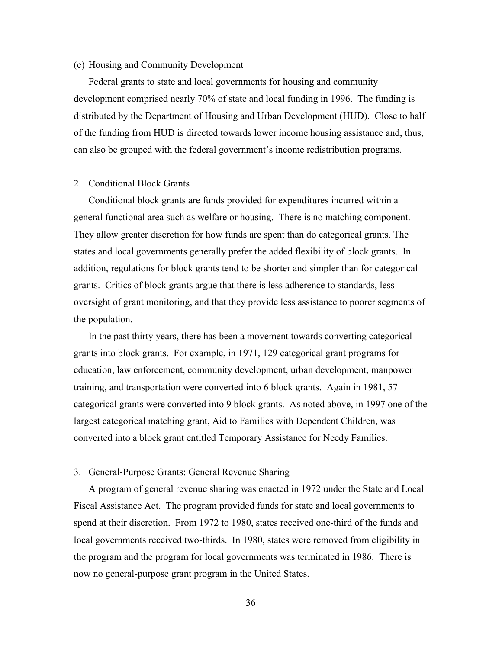### (e) Housing and Community Development

Federal grants to state and local governments for housing and community development comprised nearly 70% of state and local funding in 1996. The funding is distributed by the Department of Housing and Urban Development (HUD). Close to half of the funding from HUD is directed towards lower income housing assistance and, thus, can also be grouped with the federal government's income redistribution programs.

#### 2. Conditional Block Grants

Conditional block grants are funds provided for expenditures incurred within a general functional area such as welfare or housing. There is no matching component. They allow greater discretion for how funds are spent than do categorical grants. The states and local governments generally prefer the added flexibility of block grants. In addition, regulations for block grants tend to be shorter and simpler than for categorical grants. Critics of block grants argue that there is less adherence to standards, less oversight of grant monitoring, and that they provide less assistance to poorer segments of the population.

In the past thirty years, there has been a movement towards converting categorical grants into block grants. For example, in 1971, 129 categorical grant programs for education, law enforcement, community development, urban development, manpower training, and transportation were converted into 6 block grants. Again in 1981, 57 categorical grants were converted into 9 block grants. As noted above, in 1997 one of the largest categorical matching grant, Aid to Families with Dependent Children, was converted into a block grant entitled Temporary Assistance for Needy Families.

### 3. General-Purpose Grants: General Revenue Sharing

A program of general revenue sharing was enacted in 1972 under the State and Local Fiscal Assistance Act. The program provided funds for state and local governments to spend at their discretion. From 1972 to 1980, states received one-third of the funds and local governments received two-thirds. In 1980, states were removed from eligibility in the program and the program for local governments was terminated in 1986. There is now no general-purpose grant program in the United States.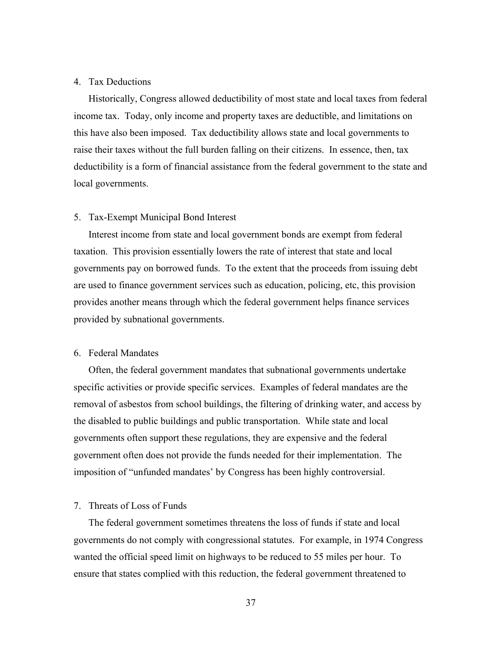## 4. Tax Deductions

Historically, Congress allowed deductibility of most state and local taxes from federal income tax. Today, only income and property taxes are deductible, and limitations on this have also been imposed. Tax deductibility allows state and local governments to raise their taxes without the full burden falling on their citizens. In essence, then, tax deductibility is a form of financial assistance from the federal government to the state and local governments.

### 5. Tax-Exempt Municipal Bond Interest

Interest income from state and local government bonds are exempt from federal taxation. This provision essentially lowers the rate of interest that state and local governments pay on borrowed funds. To the extent that the proceeds from issuing debt are used to finance government services such as education, policing, etc, this provision provides another means through which the federal government helps finance services provided by subnational governments.

## 6. Federal Mandates

Often, the federal government mandates that subnational governments undertake specific activities or provide specific services. Examples of federal mandates are the removal of asbestos from school buildings, the filtering of drinking water, and access by the disabled to public buildings and public transportation. While state and local governments often support these regulations, they are expensive and the federal government often does not provide the funds needed for their implementation. The imposition of "unfunded mandates' by Congress has been highly controversial.

## 7. Threats of Loss of Funds

The federal government sometimes threatens the loss of funds if state and local governments do not comply with congressional statutes. For example, in 1974 Congress wanted the official speed limit on highways to be reduced to 55 miles per hour. To ensure that states complied with this reduction, the federal government threatened to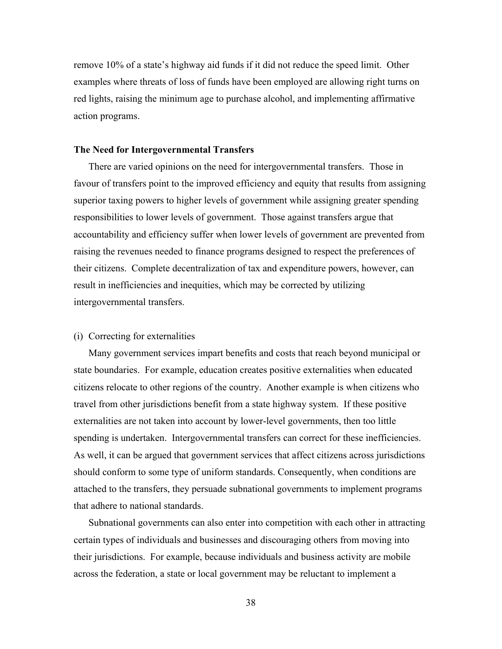remove 10% of a state's highway aid funds if it did not reduce the speed limit. Other examples where threats of loss of funds have been employed are allowing right turns on red lights, raising the minimum age to purchase alcohol, and implementing affirmative action programs.

## **The Need for Intergovernmental Transfers**

There are varied opinions on the need for intergovernmental transfers. Those in favour of transfers point to the improved efficiency and equity that results from assigning superior taxing powers to higher levels of government while assigning greater spending responsibilities to lower levels of government. Those against transfers argue that accountability and efficiency suffer when lower levels of government are prevented from raising the revenues needed to finance programs designed to respect the preferences of their citizens. Complete decentralization of tax and expenditure powers, however, can result in inefficiencies and inequities, which may be corrected by utilizing intergovernmental transfers.

## (i) Correcting for externalities

Many government services impart benefits and costs that reach beyond municipal or state boundaries. For example, education creates positive externalities when educated citizens relocate to other regions of the country. Another example is when citizens who travel from other jurisdictions benefit from a state highway system. If these positive externalities are not taken into account by lower-level governments, then too little spending is undertaken. Intergovernmental transfers can correct for these inefficiencies. As well, it can be argued that government services that affect citizens across jurisdictions should conform to some type of uniform standards. Consequently, when conditions are attached to the transfers, they persuade subnational governments to implement programs that adhere to national standards.

Subnational governments can also enter into competition with each other in attracting certain types of individuals and businesses and discouraging others from moving into their jurisdictions. For example, because individuals and business activity are mobile across the federation, a state or local government may be reluctant to implement a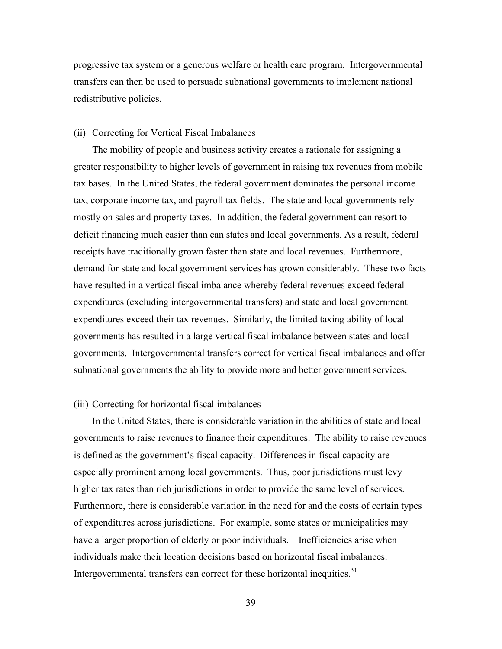progressive tax system or a generous welfare or health care program. Intergovernmental transfers can then be used to persuade subnational governments to implement national redistributive policies.

### (ii) Correcting for Vertical Fiscal Imbalances

The mobility of people and business activity creates a rationale for assigning a greater responsibility to higher levels of government in raising tax revenues from mobile tax bases. In the United States, the federal government dominates the personal income tax, corporate income tax, and payroll tax fields. The state and local governments rely mostly on sales and property taxes. In addition, the federal government can resort to deficit financing much easier than can states and local governments. As a result, federal receipts have traditionally grown faster than state and local revenues. Furthermore, demand for state and local government services has grown considerably. These two facts have resulted in a vertical fiscal imbalance whereby federal revenues exceed federal expenditures (excluding intergovernmental transfers) and state and local government expenditures exceed their tax revenues. Similarly, the limited taxing ability of local governments has resulted in a large vertical fiscal imbalance between states and local governments. Intergovernmental transfers correct for vertical fiscal imbalances and offer subnational governments the ability to provide more and better government services.

#### (iii) Correcting for horizontal fiscal imbalances

In the United States, there is considerable variation in the abilities of state and local governments to raise revenues to finance their expenditures. The ability to raise revenues is defined as the government's fiscal capacity. Differences in fiscal capacity are especially prominent among local governments. Thus, poor jurisdictions must levy higher tax rates than rich jurisdictions in order to provide the same level of services. Furthermore, there is considerable variation in the need for and the costs of certain types of expenditures across jurisdictions. For example, some states or municipalities may have a larger proportion of elderly or poor individuals. Inefficiencies arise when individuals make their location decisions based on horizontal fiscal imbalances. Intergovernmental transfers can correct for these horizontal inequities.<sup>31</sup>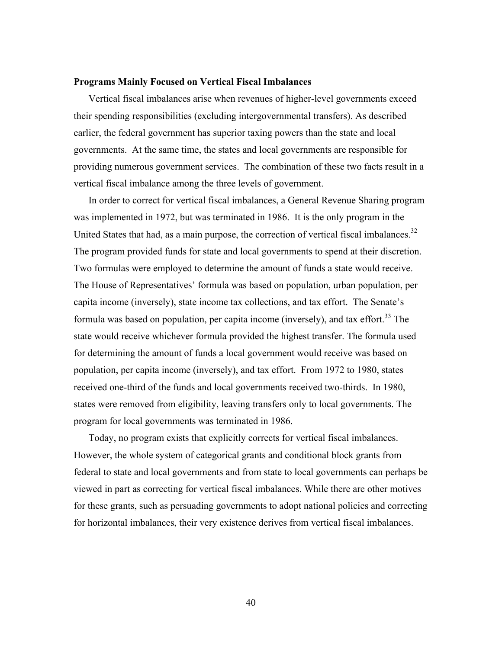### **Programs Mainly Focused on Vertical Fiscal Imbalances**

Vertical fiscal imbalances arise when revenues of higher-level governments exceed their spending responsibilities (excluding intergovernmental transfers). As described earlier, the federal government has superior taxing powers than the state and local governments. At the same time, the states and local governments are responsible for providing numerous government services. The combination of these two facts result in a vertical fiscal imbalance among the three levels of government.

In order to correct for vertical fiscal imbalances, a General Revenue Sharing program was implemented in 1972, but was terminated in 1986. It is the only program in the United States that had, as a main purpose, the correction of vertical fiscal imbalances.<sup>32</sup> The program provided funds for state and local governments to spend at their discretion. Two formulas were employed to determine the amount of funds a state would receive. The House of Representatives' formula was based on population, urban population, per capita income (inversely), state income tax collections, and tax effort. The Senate's formula was based on population, per capita income (inversely), and tax effort.<sup>33</sup> The state would receive whichever formula provided the highest transfer. The formula used for determining the amount of funds a local government would receive was based on population, per capita income (inversely), and tax effort. From 1972 to 1980, states received one-third of the funds and local governments received two-thirds. In 1980, states were removed from eligibility, leaving transfers only to local governments. The program for local governments was terminated in 1986.

Today, no program exists that explicitly corrects for vertical fiscal imbalances. However, the whole system of categorical grants and conditional block grants from federal to state and local governments and from state to local governments can perhaps be viewed in part as correcting for vertical fiscal imbalances. While there are other motives for these grants, such as persuading governments to adopt national policies and correcting for horizontal imbalances, their very existence derives from vertical fiscal imbalances.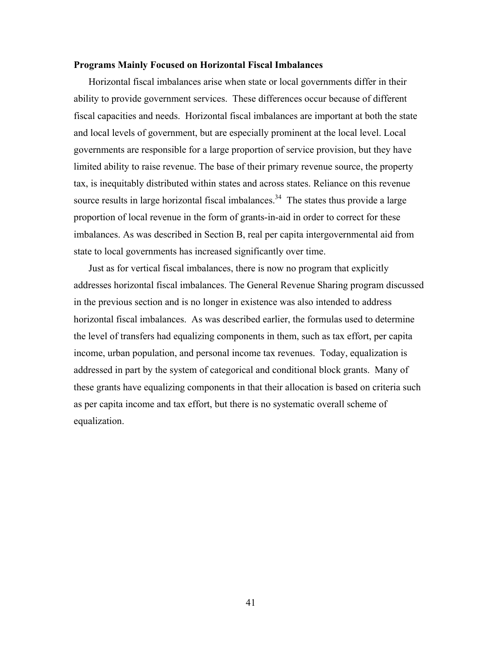### **Programs Mainly Focused on Horizontal Fiscal Imbalances**

Horizontal fiscal imbalances arise when state or local governments differ in their ability to provide government services. These differences occur because of different fiscal capacities and needs. Horizontal fiscal imbalances are important at both the state and local levels of government, but are especially prominent at the local level. Local governments are responsible for a large proportion of service provision, but they have limited ability to raise revenue. The base of their primary revenue source, the property tax, is inequitably distributed within states and across states. Reliance on this revenue source results in large horizontal fiscal imbalances.<sup>34</sup> The states thus provide a large proportion of local revenue in the form of grants-in-aid in order to correct for these imbalances. As was described in Section B, real per capita intergovernmental aid from state to local governments has increased significantly over time.

Just as for vertical fiscal imbalances, there is now no program that explicitly addresses horizontal fiscal imbalances. The General Revenue Sharing program discussed in the previous section and is no longer in existence was also intended to address horizontal fiscal imbalances. As was described earlier, the formulas used to determine the level of transfers had equalizing components in them, such as tax effort, per capita income, urban population, and personal income tax revenues. Today, equalization is addressed in part by the system of categorical and conditional block grants. Many of these grants have equalizing components in that their allocation is based on criteria such as per capita income and tax effort, but there is no systematic overall scheme of equalization.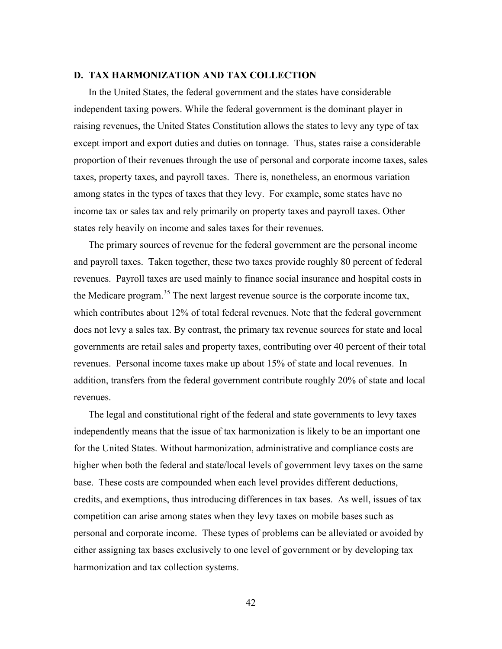### **D. TAX HARMONIZATION AND TAX COLLECTION**

In the United States, the federal government and the states have considerable independent taxing powers. While the federal government is the dominant player in raising revenues, the United States Constitution allows the states to levy any type of tax except import and export duties and duties on tonnage. Thus, states raise a considerable proportion of their revenues through the use of personal and corporate income taxes, sales taxes, property taxes, and payroll taxes. There is, nonetheless, an enormous variation among states in the types of taxes that they levy. For example, some states have no income tax or sales tax and rely primarily on property taxes and payroll taxes. Other states rely heavily on income and sales taxes for their revenues.

The primary sources of revenue for the federal government are the personal income and payroll taxes. Taken together, these two taxes provide roughly 80 percent of federal revenues. Payroll taxes are used mainly to finance social insurance and hospital costs in the Medicare program.<sup>35</sup> The next largest revenue source is the corporate income tax, which contributes about 12% of total federal revenues. Note that the federal government does not levy a sales tax. By contrast, the primary tax revenue sources for state and local governments are retail sales and property taxes, contributing over 40 percent of their total revenues. Personal income taxes make up about 15% of state and local revenues. In addition, transfers from the federal government contribute roughly 20% of state and local revenues.

The legal and constitutional right of the federal and state governments to levy taxes independently means that the issue of tax harmonization is likely to be an important one for the United States. Without harmonization, administrative and compliance costs are higher when both the federal and state/local levels of government levy taxes on the same base. These costs are compounded when each level provides different deductions, credits, and exemptions, thus introducing differences in tax bases. As well, issues of tax competition can arise among states when they levy taxes on mobile bases such as personal and corporate income. These types of problems can be alleviated or avoided by either assigning tax bases exclusively to one level of government or by developing tax harmonization and tax collection systems.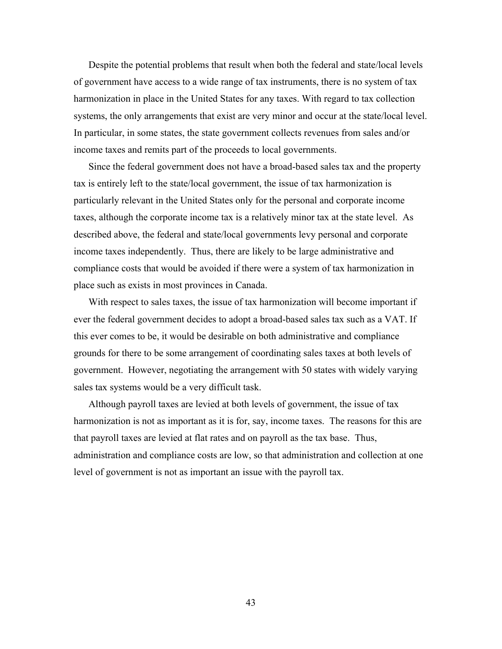Despite the potential problems that result when both the federal and state/local levels of government have access to a wide range of tax instruments, there is no system of tax harmonization in place in the United States for any taxes. With regard to tax collection systems, the only arrangements that exist are very minor and occur at the state/local level. In particular, in some states, the state government collects revenues from sales and/or income taxes and remits part of the proceeds to local governments.

Since the federal government does not have a broad-based sales tax and the property tax is entirely left to the state/local government, the issue of tax harmonization is particularly relevant in the United States only for the personal and corporate income taxes, although the corporate income tax is a relatively minor tax at the state level. As described above, the federal and state/local governments levy personal and corporate income taxes independently. Thus, there are likely to be large administrative and compliance costs that would be avoided if there were a system of tax harmonization in place such as exists in most provinces in Canada.

With respect to sales taxes, the issue of tax harmonization will become important if ever the federal government decides to adopt a broad-based sales tax such as a VAT. If this ever comes to be, it would be desirable on both administrative and compliance grounds for there to be some arrangement of coordinating sales taxes at both levels of government. However, negotiating the arrangement with 50 states with widely varying sales tax systems would be a very difficult task.

Although payroll taxes are levied at both levels of government, the issue of tax harmonization is not as important as it is for, say, income taxes. The reasons for this are that payroll taxes are levied at flat rates and on payroll as the tax base. Thus, administration and compliance costs are low, so that administration and collection at one level of government is not as important an issue with the payroll tax.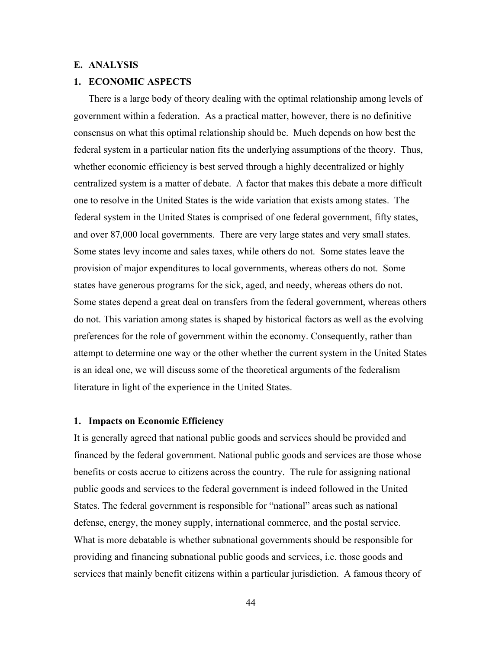## **E. ANALYSIS**

## **1. ECONOMIC ASPECTS**

There is a large body of theory dealing with the optimal relationship among levels of government within a federation. As a practical matter, however, there is no definitive consensus on what this optimal relationship should be. Much depends on how best the federal system in a particular nation fits the underlying assumptions of the theory. Thus, whether economic efficiency is best served through a highly decentralized or highly centralized system is a matter of debate. A factor that makes this debate a more difficult one to resolve in the United States is the wide variation that exists among states. The federal system in the United States is comprised of one federal government, fifty states, and over 87,000 local governments. There are very large states and very small states. Some states levy income and sales taxes, while others do not. Some states leave the provision of major expenditures to local governments, whereas others do not. Some states have generous programs for the sick, aged, and needy, whereas others do not. Some states depend a great deal on transfers from the federal government, whereas others do not. This variation among states is shaped by historical factors as well as the evolving preferences for the role of government within the economy. Consequently, rather than attempt to determine one way or the other whether the current system in the United States is an ideal one, we will discuss some of the theoretical arguments of the federalism literature in light of the experience in the United States.

## **1. Impacts on Economic Efficiency**

It is generally agreed that national public goods and services should be provided and financed by the federal government. National public goods and services are those whose benefits or costs accrue to citizens across the country. The rule for assigning national public goods and services to the federal government is indeed followed in the United States. The federal government is responsible for "national" areas such as national defense, energy, the money supply, international commerce, and the postal service. What is more debatable is whether subnational governments should be responsible for providing and financing subnational public goods and services, i.e. those goods and services that mainly benefit citizens within a particular jurisdiction. A famous theory of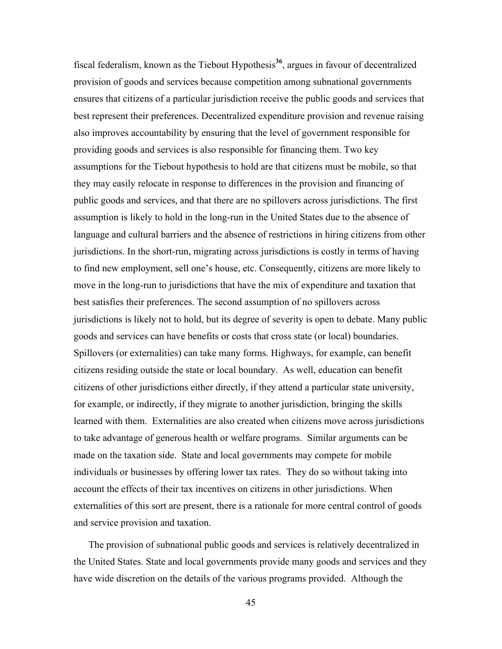fiscal federalism, known as the Tiebout Hypothesis**<sup>36</sup>**, argues in favour of decentralized provision of goods and services because competition among subnational governments ensures that citizens of a particular jurisdiction receive the public goods and services that best represent their preferences. Decentralized expenditure provision and revenue raising also improves accountability by ensuring that the level of government responsible for providing goods and services is also responsible for financing them. Two key assumptions for the Tiebout hypothesis to hold are that citizens must be mobile, so that they may easily relocate in response to differences in the provision and financing of public goods and services, and that there are no spillovers across jurisdictions. The first assumption is likely to hold in the long-run in the United States due to the absence of language and cultural barriers and the absence of restrictions in hiring citizens from other jurisdictions. In the short-run, migrating across jurisdictions is costly in terms of having to find new employment, sell one's house, etc. Consequently, citizens are more likely to move in the long-run to jurisdictions that have the mix of expenditure and taxation that best satisfies their preferences. The second assumption of no spillovers across jurisdictions is likely not to hold, but its degree of severity is open to debate. Many public goods and services can have benefits or costs that cross state (or local) boundaries. Spillovers (or externalities) can take many forms. Highways, for example, can benefit citizens residing outside the state or local boundary. As well, education can benefit citizens of other jurisdictions either directly, if they attend a particular state university, for example, or indirectly, if they migrate to another jurisdiction, bringing the skills learned with them. Externalities are also created when citizens move across jurisdictions to take advantage of generous health or welfare programs. Similar arguments can be made on the taxation side. State and local governments may compete for mobile individuals or businesses by offering lower tax rates. They do so without taking into account the effects of their tax incentives on citizens in other jurisdictions. When externalities of this sort are present, there is a rationale for more central control of goods and service provision and taxation.

The provision of subnational public goods and services is relatively decentralized in the United States. State and local governments provide many goods and services and they have wide discretion on the details of the various programs provided. Although the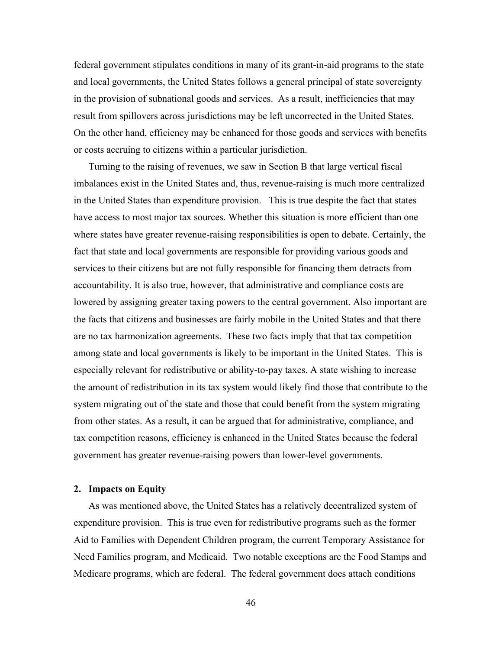federal government stipulates conditions in many of its grant-in-aid programs to the state and local governments, the United States follows a general principal of state sovereignty in the provision of subnational goods and services. As a result, inefficiencies that may result from spillovers across jurisdictions may be left uncorrected in the United States. On the other hand, efficiency may be enhanced for those goods and services with benefits or costs accruing to citizens within a particular jurisdiction.

Turning to the raising of revenues, we saw in Section B that large vertical fiscal imbalances exist in the United States and, thus, revenue-raising is much more centralized in the United States than expenditure provision. This is true despite the fact that states have access to most major tax sources. Whether this situation is more efficient than one where states have greater revenue-raising responsibilities is open to debate. Certainly, the fact that state and local governments are responsible for providing various goods and services to their citizens but are not fully responsible for financing them detracts from accountability. It is also true, however, that administrative and compliance costs are lowered by assigning greater taxing powers to the central government. Also important are the facts that citizens and businesses are fairly mobile in the United States and that there are no tax harmonization agreements. These two facts imply that that tax competition among state and local governments is likely to be important in the United States. This is especially relevant for redistributive or ability-to-pay taxes. A state wishing to increase the amount of redistribution in its tax system would likely find those that contribute to the system migrating out of the state and those that could benefit from the system migrating from other states. As a result, it can be argued that for administrative, compliance, and tax competition reasons, efficiency is enhanced in the United States because the federal government has greater revenue-raising powers than lower-level governments.

## **2. Impacts on Equity**

As was mentioned above, the United States has a relatively decentralized system of expenditure provision. This is true even for redistributive programs such as the former Aid to Families with Dependent Children program, the current Temporary Assistance for Need Families program, and Medicaid. Two notable exceptions are the Food Stamps and Medicare programs, which are federal. The federal government does attach conditions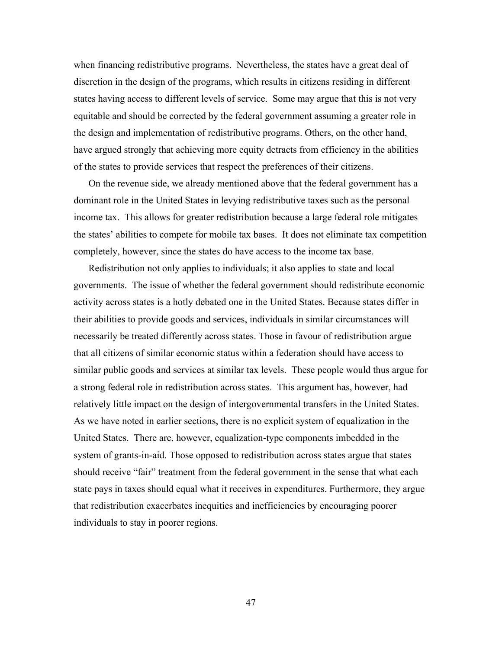when financing redistributive programs. Nevertheless, the states have a great deal of discretion in the design of the programs, which results in citizens residing in different states having access to different levels of service. Some may argue that this is not very equitable and should be corrected by the federal government assuming a greater role in the design and implementation of redistributive programs. Others, on the other hand, have argued strongly that achieving more equity detracts from efficiency in the abilities of the states to provide services that respect the preferences of their citizens.

On the revenue side, we already mentioned above that the federal government has a dominant role in the United States in levying redistributive taxes such as the personal income tax. This allows for greater redistribution because a large federal role mitigates the states' abilities to compete for mobile tax bases. It does not eliminate tax competition completely, however, since the states do have access to the income tax base.

Redistribution not only applies to individuals; it also applies to state and local governments. The issue of whether the federal government should redistribute economic activity across states is a hotly debated one in the United States. Because states differ in their abilities to provide goods and services, individuals in similar circumstances will necessarily be treated differently across states. Those in favour of redistribution argue that all citizens of similar economic status within a federation should have access to similar public goods and services at similar tax levels. These people would thus argue for a strong federal role in redistribution across states. This argument has, however, had relatively little impact on the design of intergovernmental transfers in the United States. As we have noted in earlier sections, there is no explicit system of equalization in the United States. There are, however, equalization-type components imbedded in the system of grants-in-aid. Those opposed to redistribution across states argue that states should receive "fair" treatment from the federal government in the sense that what each state pays in taxes should equal what it receives in expenditures. Furthermore, they argue that redistribution exacerbates inequities and inefficiencies by encouraging poorer individuals to stay in poorer regions.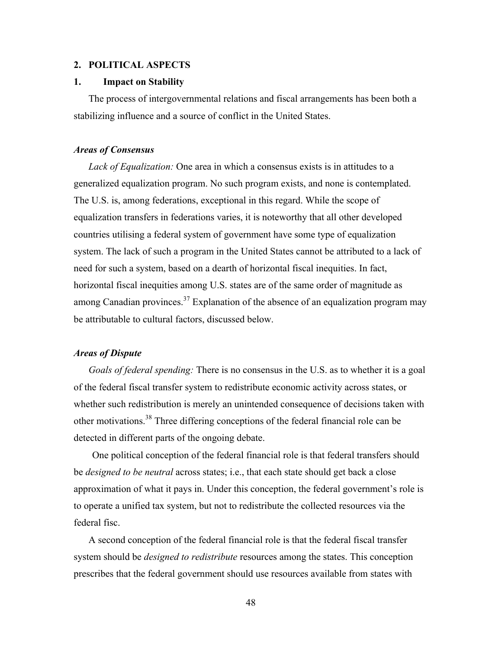### **2. POLITICAL ASPECTS**

## **1. Impact on Stability**

The process of intergovernmental relations and fiscal arrangements has been both a stabilizing influence and a source of conflict in the United States.

## *Areas of Consensus*

*Lack of Equalization:* One area in which a consensus exists is in attitudes to a generalized equalization program. No such program exists, and none is contemplated. The U.S. is, among federations, exceptional in this regard. While the scope of equalization transfers in federations varies, it is noteworthy that all other developed countries utilising a federal system of government have some type of equalization system. The lack of such a program in the United States cannot be attributed to a lack of need for such a system, based on a dearth of horizontal fiscal inequities. In fact, horizontal fiscal inequities among U.S. states are of the same order of magnitude as among Canadian provinces.<sup>37</sup> Explanation of the absence of an equalization program may be attributable to cultural factors, discussed below.

## *Areas of Dispute*

*Goals of federal spending:* There is no consensus in the U.S. as to whether it is a goal of the federal fiscal transfer system to redistribute economic activity across states, or whether such redistribution is merely an unintended consequence of decisions taken with other motivations.<sup>38</sup> Three differing conceptions of the federal financial role can be detected in different parts of the ongoing debate.

One political conception of the federal financial role is that federal transfers should be *designed to be neutral* across states; i.e., that each state should get back a close approximation of what it pays in. Under this conception, the federal government's role is to operate a unified tax system, but not to redistribute the collected resources via the federal fisc.

A second conception of the federal financial role is that the federal fiscal transfer system should be *designed to redistribute* resources among the states. This conception prescribes that the federal government should use resources available from states with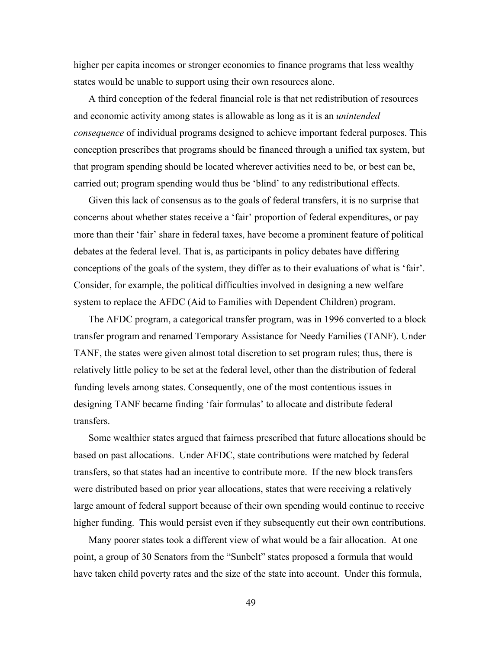higher per capita incomes or stronger economies to finance programs that less wealthy states would be unable to support using their own resources alone.

A third conception of the federal financial role is that net redistribution of resources and economic activity among states is allowable as long as it is an *unintended consequence* of individual programs designed to achieve important federal purposes. This conception prescribes that programs should be financed through a unified tax system, but that program spending should be located wherever activities need to be, or best can be, carried out; program spending would thus be 'blind' to any redistributional effects.

Given this lack of consensus as to the goals of federal transfers, it is no surprise that concerns about whether states receive a 'fair' proportion of federal expenditures, or pay more than their 'fair' share in federal taxes, have become a prominent feature of political debates at the federal level. That is, as participants in policy debates have differing conceptions of the goals of the system, they differ as to their evaluations of what is 'fair'. Consider, for example, the political difficulties involved in designing a new welfare system to replace the AFDC (Aid to Families with Dependent Children) program.

The AFDC program, a categorical transfer program, was in 1996 converted to a block transfer program and renamed Temporary Assistance for Needy Families (TANF). Under TANF, the states were given almost total discretion to set program rules; thus, there is relatively little policy to be set at the federal level, other than the distribution of federal funding levels among states. Consequently, one of the most contentious issues in designing TANF became finding 'fair formulas' to allocate and distribute federal transfers.

Some wealthier states argued that fairness prescribed that future allocations should be based on past allocations. Under AFDC, state contributions were matched by federal transfers, so that states had an incentive to contribute more. If the new block transfers were distributed based on prior year allocations, states that were receiving a relatively large amount of federal support because of their own spending would continue to receive higher funding. This would persist even if they subsequently cut their own contributions.

Many poorer states took a different view of what would be a fair allocation. At one point, a group of 30 Senators from the "Sunbelt" states proposed a formula that would have taken child poverty rates and the size of the state into account. Under this formula,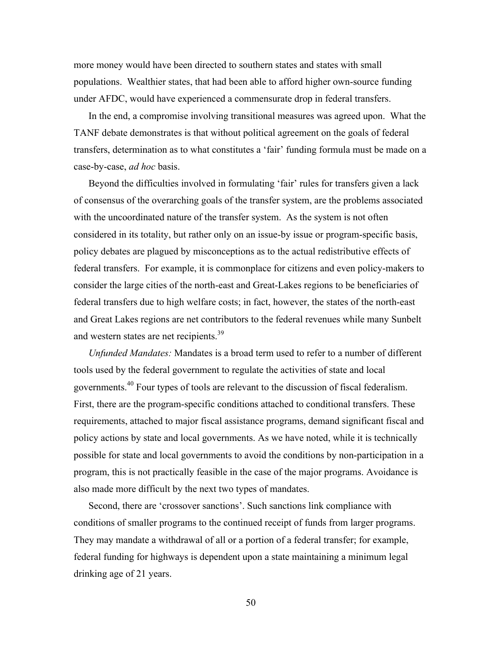more money would have been directed to southern states and states with small populations. Wealthier states, that had been able to afford higher own-source funding under AFDC, would have experienced a commensurate drop in federal transfers.

In the end, a compromise involving transitional measures was agreed upon. What the TANF debate demonstrates is that without political agreement on the goals of federal transfers, determination as to what constitutes a 'fair' funding formula must be made on a case-by-case, *ad hoc* basis.

Beyond the difficulties involved in formulating 'fair' rules for transfers given a lack of consensus of the overarching goals of the transfer system, are the problems associated with the uncoordinated nature of the transfer system. As the system is not often considered in its totality, but rather only on an issue-by issue or program-specific basis, policy debates are plagued by misconceptions as to the actual redistributive effects of federal transfers. For example, it is commonplace for citizens and even policy-makers to consider the large cities of the north-east and Great-Lakes regions to be beneficiaries of federal transfers due to high welfare costs; in fact, however, the states of the north-east and Great Lakes regions are net contributors to the federal revenues while many Sunbelt and western states are net recipients.<sup>39</sup>

*Unfunded Mandates:* Mandates is a broad term used to refer to a number of different tools used by the federal government to regulate the activities of state and local governments.<sup>40</sup> Four types of tools are relevant to the discussion of fiscal federalism. First, there are the program-specific conditions attached to conditional transfers. These requirements, attached to major fiscal assistance programs, demand significant fiscal and policy actions by state and local governments. As we have noted, while it is technically possible for state and local governments to avoid the conditions by non-participation in a program, this is not practically feasible in the case of the major programs. Avoidance is also made more difficult by the next two types of mandates.

Second, there are 'crossover sanctions'. Such sanctions link compliance with conditions of smaller programs to the continued receipt of funds from larger programs. They may mandate a withdrawal of all or a portion of a federal transfer; for example, federal funding for highways is dependent upon a state maintaining a minimum legal drinking age of 21 years.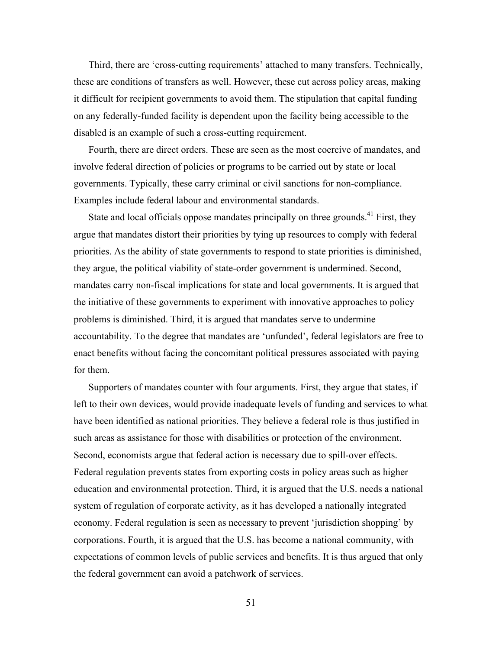Third, there are 'cross-cutting requirements' attached to many transfers. Technically, these are conditions of transfers as well. However, these cut across policy areas, making it difficult for recipient governments to avoid them. The stipulation that capital funding on any federally-funded facility is dependent upon the facility being accessible to the disabled is an example of such a cross-cutting requirement.

Fourth, there are direct orders. These are seen as the most coercive of mandates, and involve federal direction of policies or programs to be carried out by state or local governments. Typically, these carry criminal or civil sanctions for non-compliance. Examples include federal labour and environmental standards.

State and local officials oppose mandates principally on three grounds.<sup>41</sup> First, they argue that mandates distort their priorities by tying up resources to comply with federal priorities. As the ability of state governments to respond to state priorities is diminished, they argue, the political viability of state-order government is undermined. Second, mandates carry non-fiscal implications for state and local governments. It is argued that the initiative of these governments to experiment with innovative approaches to policy problems is diminished. Third, it is argued that mandates serve to undermine accountability. To the degree that mandates are 'unfunded', federal legislators are free to enact benefits without facing the concomitant political pressures associated with paying for them.

Supporters of mandates counter with four arguments. First, they argue that states, if left to their own devices, would provide inadequate levels of funding and services to what have been identified as national priorities. They believe a federal role is thus justified in such areas as assistance for those with disabilities or protection of the environment. Second, economists argue that federal action is necessary due to spill-over effects. Federal regulation prevents states from exporting costs in policy areas such as higher education and environmental protection. Third, it is argued that the U.S. needs a national system of regulation of corporate activity, as it has developed a nationally integrated economy. Federal regulation is seen as necessary to prevent 'jurisdiction shopping' by corporations. Fourth, it is argued that the U.S. has become a national community, with expectations of common levels of public services and benefits. It is thus argued that only the federal government can avoid a patchwork of services.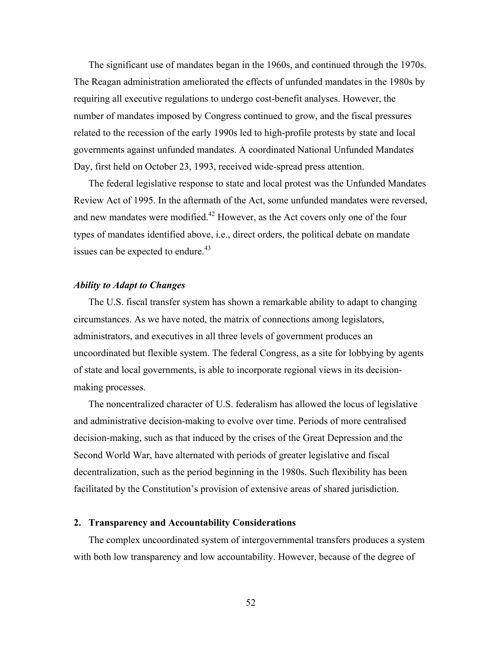The significant use of mandates began in the 1960s, and continued through the 1970s. The Reagan administration ameliorated the effects of unfunded mandates in the 1980s by requiring all executive regulations to undergo cost-benefit analyses. However, the number of mandates imposed by Congress continued to grow, and the fiscal pressures related to the recession of the early 1990s led to high-profile protests by state and local governments against unfunded mandates. A coordinated National Unfunded Mandates Day, first held on October 23, 1993, received wide-spread press attention.

The federal legislative response to state and local protest was the Unfunded Mandates Review Act of 1995. In the aftermath of the Act, some unfunded mandates were reversed, and new mandates were modified.<sup>42</sup> However, as the Act covers only one of the four types of mandates identified above, i.e., direct orders, the political debate on mandate issues can be expected to endure. $43$ 

## *Ability to Adapt to Changes*

The U.S. fiscal transfer system has shown a remarkable ability to adapt to changing circumstances. As we have noted, the matrix of connections among legislators, administrators, and executives in all three levels of government produces an uncoordinated but flexible system. The federal Congress, as a site for lobbying by agents of state and local governments, is able to incorporate regional views in its decisionmaking processes.

The noncentralized character of U.S. federalism has allowed the locus of legislative and administrative decision-making to evolve over time. Periods of more centralised decision-making, such as that induced by the crises of the Great Depression and the Second World War, have alternated with periods of greater legislative and fiscal decentralization, such as the period beginning in the 1980s. Such flexibility has been facilitated by the Constitution's provision of extensive areas of shared jurisdiction.

## **2. Transparency and Accountability Considerations**

The complex uncoordinated system of intergovernmental transfers produces a system with both low transparency and low accountability. However, because of the degree of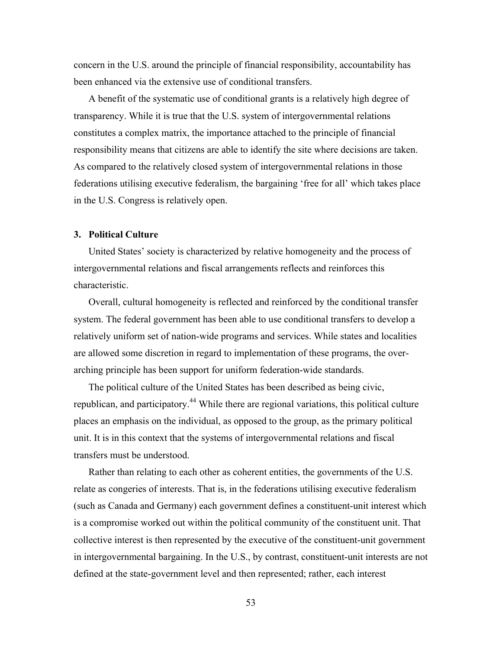concern in the U.S. around the principle of financial responsibility, accountability has been enhanced via the extensive use of conditional transfers.

A benefit of the systematic use of conditional grants is a relatively high degree of transparency. While it is true that the U.S. system of intergovernmental relations constitutes a complex matrix, the importance attached to the principle of financial responsibility means that citizens are able to identify the site where decisions are taken. As compared to the relatively closed system of intergovernmental relations in those federations utilising executive federalism, the bargaining 'free for all' which takes place in the U.S. Congress is relatively open.

## **3. Political Culture**

United States' society is characterized by relative homogeneity and the process of intergovernmental relations and fiscal arrangements reflects and reinforces this characteristic.

Overall, cultural homogeneity is reflected and reinforced by the conditional transfer system. The federal government has been able to use conditional transfers to develop a relatively uniform set of nation-wide programs and services. While states and localities are allowed some discretion in regard to implementation of these programs, the overarching principle has been support for uniform federation-wide standards.

The political culture of the United States has been described as being civic, republican, and participatory.<sup>44</sup> While there are regional variations, this political culture places an emphasis on the individual, as opposed to the group, as the primary political unit. It is in this context that the systems of intergovernmental relations and fiscal transfers must be understood.

Rather than relating to each other as coherent entities, the governments of the U.S. relate as congeries of interests. That is, in the federations utilising executive federalism (such as Canada and Germany) each government defines a constituent-unit interest which is a compromise worked out within the political community of the constituent unit. That collective interest is then represented by the executive of the constituent-unit government in intergovernmental bargaining. In the U.S., by contrast, constituent-unit interests are not defined at the state-government level and then represented; rather, each interest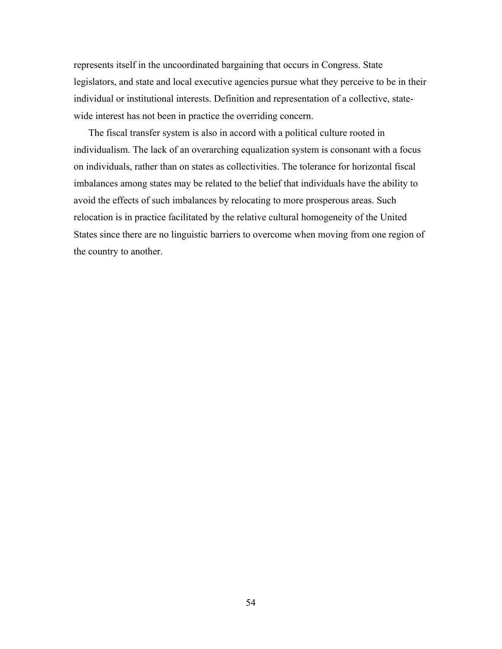represents itself in the uncoordinated bargaining that occurs in Congress. State legislators, and state and local executive agencies pursue what they perceive to be in their individual or institutional interests. Definition and representation of a collective, statewide interest has not been in practice the overriding concern.

The fiscal transfer system is also in accord with a political culture rooted in individualism. The lack of an overarching equalization system is consonant with a focus on individuals, rather than on states as collectivities. The tolerance for horizontal fiscal imbalances among states may be related to the belief that individuals have the ability to avoid the effects of such imbalances by relocating to more prosperous areas. Such relocation is in practice facilitated by the relative cultural homogeneity of the United States since there are no linguistic barriers to overcome when moving from one region of the country to another.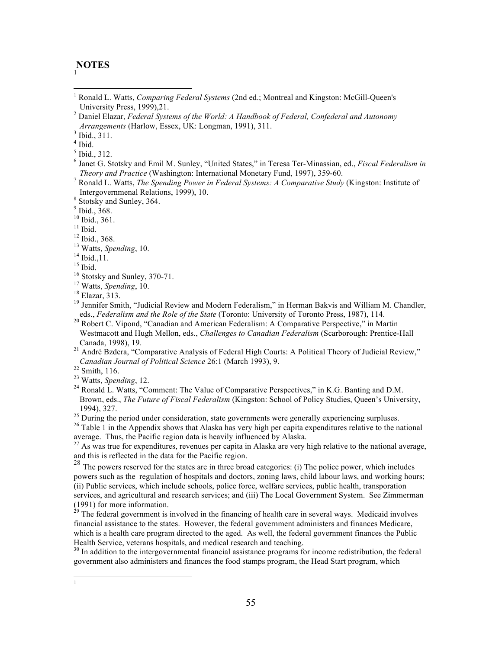#### **NOTES** 1

 1 Ronald L. Watts, *Comparing Federal Systems* (2nd ed.; Montreal and Kingston: McGill-Queen's University Press, 1999),21. <sup>2</sup> Daniel Elazar, *Federal Systems of the World: A Handbook of Federal, Confederal and Autonomy* 

 $4$  Ibid.

<sup>5</sup> Ibid., 312.

- <sup>6</sup> Janet G. Stotsky and Emil M. Sunley, "United States," in Teresa Ter-Minassian, ed., *Fiscal Federalism in*
- <sup>7</sup> Ronald L. Watts, *The Spending Power in Federal Systems: A Comparative Study* (Kingston: Institute of Intergovernmenal Relations, 1999), 10. <sup>8</sup> Stotsky and Sunley, 364.

 $\frac{9}{10}$  Ibid., 368.<br> $\frac{10}{10}$  Ibid., 361.

<sup>10</sup> Ibid., 361.<br><sup>11</sup> Ibid.<br><sup>12</sup> Ibid., 368.<br><sup>13</sup> Watts, *Spending*, 10.<br><sup>14</sup> Ibid.,11.<br><sup>15</sup> Stotsky and Sunley, 370-71.<br><sup>17</sup> Watts, *Spending*, 10.<br><sup>18</sup> Elazar, 313.<br><sup>19</sup> Jennifer Smith, "Judicial Review and Modern Federa

eds., *Federalism and the Role of the State* (Toronto: University of Toronto Press, 1987), 114. <sup>20</sup> Robert C. Vipond, "Canadian and American Federalism: A Comparative Perspective," in Martin Westmacott and Hugh Mellon, eds., *Challenges to Canadian Federalism* (Scarborough: Prentice-Hall Canada, 1998), 19.<br><sup>21</sup> André Bzdera, "Comparative Analysis of Federal High Courts: A Political Theory of Judicial Review,"

*Canadian Journal of Political Science* 26:1 (March 1993), 9.<br><sup>22</sup> Smith, 116.<br><sup>23</sup> Watts, *Spending*, 12.<br><sup>24</sup> Ronald L. Watts, "Comment: The Value of Comparative Perspectives," in K.G. Banting and D.M.

 $\frac{1}{1}$  $\mathbf{1}$ 

Brown, eds., *The Future of Fiscal Federalism* (Kingston: School of Policy Studies, Queen's University, 1994), 327.<br><sup>25</sup> During the period under consideration, state governments were generally experiencing surpluses.<br><sup>26</sup> Table 1 in the Appendix shows that Alaska has very high per capita expenditures relative to the nationa

average. Thus, the Pacific region data is heavily influenced by Alaska.

 $^{27}$  As was true for expenditures, revenues per capita in Alaska are very high relative to the national average, and this is reflected in the data for the Pacific region.

 $28$  The powers reserved for the states are in three broad categories: (i) The police power, which includes powers such as the regulation of hospitals and doctors, zoning laws, child labour laws, and working hours; (ii) Public services, which include schools, police force, welfare services, public health, transporation services, and agricultural and research services; and (iii) The Local Government System. See Zimmerman (1991) for more information.

 $^{29}$  The federal government is involved in the financing of health care in several ways. Medicaid involves financial assistance to the states. However, the federal government administers and finances Medicare, which is a health care program directed to the aged. As well, the federal government finances the Public Health Service, veterans hospitals, and medical research and teaching.

 $30$  In addition to the intergovernmental financial assistance programs for income redistribution, the federal government also administers and finances the food stamps program, the Head Start program, which

*Arrangements* (Harlow, Essex, UK: Longman, 1991), 311. <sup>3</sup> Ibid., 311.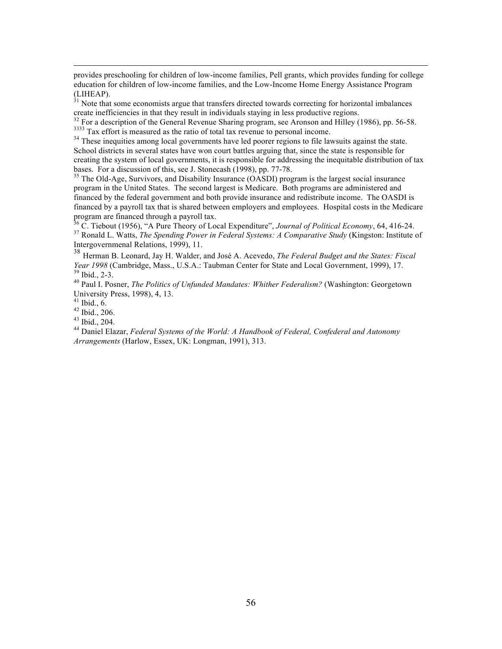provides preschooling for children of low-income families, Pell grants, which provides funding for college education for children of low-income families, and the Low-Income Home Energy Assistance Program (LIHEAP).

 $31$  Note that some economists argue that transfers directed towards correcting for horizontal imbalances create inefficiencies in that they result in individuals staying in less productive regions.<br><sup>32</sup> For a description of the General Revenue Sharing program, see Aronson and Hilley (1986), pp. 56-58.

 $3333$  Tax effort is measured as the ratio of total tax revenue to personal income.<br> $34$  These inequities among local governments have led poorer regions to file lawsuits against the state.

School districts in several states have won court battles arguing that, since the state is responsible for creating the system of local governments, it is responsible for addressing the inequitable distribution of tax bases. For a discussion of this, see J. Stonecash (1998), pp. 77-78.<br><sup>35</sup> The Old-Age, Survivors, and Disability Insurance (OASDI) program is the largest social insurance

program in the United States. The second largest is Medicare. Both programs are administered and financed by the federal government and both provide insurance and redistribute income. The OASDI is financed by a payroll tax that is shared between employers and employees. Hospital costs in the Medicare program are financed through a payroll tax.

<sup>36</sup> C. Tiebout (1956), "A Pure Theory of Local Expenditure", *Journal of Political Economy*, 64, 416-24. <sup>37</sup> Ronald L. Watts, *The Spending Power in Federal Systems: A Comparative Study* (Kingston: Institute of Intergovernmenal Relations, 1999), 11.

<sup>38</sup> Herman B. Leonard, Jay H. Walder, and José A. Acevedo, *The Federal Budget and the States: Fiscal* 

<sup>39</sup> Ibid., 2-3.<br><sup>40</sup> Paul I. Posner, *The Politics of Unfunded Mandates: Whither Federalism?* (Washington: Georgetown<br>University Press, 1998), 4, 13.

<sup>41</sup> Ibid., 6. <sup>42</sup> Ibid., 206.<br><sup>43</sup> Ibid., 206. 43<br><sup>44</sup> Daniel Elazar, *Federal Systems of the World: A Handbook of Federal, Confederal and Autonomy Arrangements* (Harlow, Essex, UK: Longman, 1991), 313.